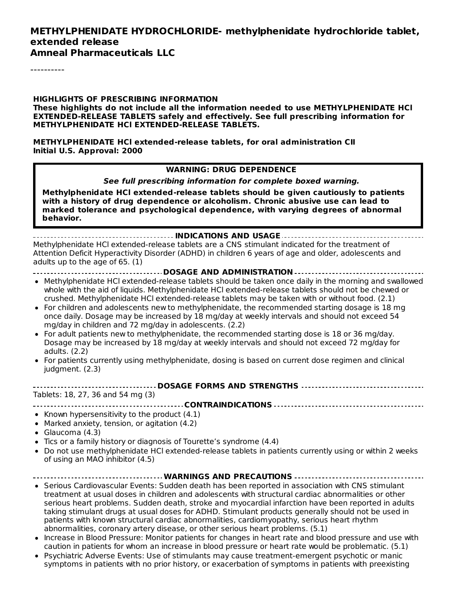#### **METHYLPHENIDATE HYDROCHLORIDE- methylphenidate hydrochloride tablet, extended release Amneal Pharmaceuticals LLC**

----------

**HIGHLIGHTS OF PRESCRIBING INFORMATION These highlights do not include all the information needed to use METHYLPHENIDATE HCl EXTENDED-RELEASE TABLETS safely and effectively. See full prescribing information for METHYLPHENIDATE HCl EXTENDED-RELEASE TABLETS.**

**METHYLPHENIDATE HCl extended-release tablets, for oral administration CII Initial U.S. Approval: 2000**

#### **WARNING: DRUG DEPENDENCE**

**See full prescribing information for complete boxed warning.**

**Methylphenidate HCl extended-release tablets should be given cautiously to patients with a history of drug dependence or alcoholism. Chronic abusive use can lead to marked tolerance and psychological dependence, with varying degrees of abnormal behavior.**

**INDICATIONS AND USAGE** Methylphenidate HCl extended-release tablets are a CNS stimulant indicated for the treatment of Attention Deficit Hyperactivity Disorder (ADHD) in children 6 years of age and older, adolescents and adults up to the age of 65. (1)

- **DOSAGE AND ADMINISTRATION**
- Methylphenidate HCl extended-release tablets should be taken once daily in the morning and swallowed whole with the aid of liquids. Methylphenidate HCl extended-release tablets should not be chewed or crushed. Methylphenidate HCl extended-release tablets may be taken with or without food. (2.1)
- For children and adolescents new to methylphenidate, the recommended starting dosage is 18 mg once daily. Dosage may be increased by 18 mg/day at weekly intervals and should not exceed 54 mg/day in children and 72 mg/day in adolescents. (2.2)
- For adult patients new to methylphenidate, the recommended starting dose is 18 or 36 mg/day. Dosage may be increased by 18 mg/day at weekly intervals and should not exceed 72 mg/day for adults. (2.2)
- For patients currently using methylphenidate, dosing is based on current dose regimen and clinical judgment. (2.3)

| Tablets: 18, 27, 36 and 54 mg (3) |  |  |
|-----------------------------------|--|--|
|                                   |  |  |
|                                   |  |  |

- $\bullet$  Known hypersensitivity to the product (4.1)
- Marked anxiety, tension, or agitation (4.2)

Glaucoma (4.3)

- Tics or a family history or diagnosis of Tourette's syndrome (4.4)
- Do not use methylphenidate HCl extended-release tablets in patients currently using or within 2 weeks of using an MAO inhibitor (4.5)
- **WARNINGS AND PRECAUTIONS**
- Serious Cardiovascular Events: Sudden death has been reported in association with CNS stimulant treatment at usual doses in children and adolescents with structural cardiac abnormalities or other serious heart problems. Sudden death, stroke and myocardial infarction have been reported in adults taking stimulant drugs at usual doses for ADHD. Stimulant products generally should not be used in patients with known structural cardiac abnormalities, cardiomyopathy, serious heart rhythm abnormalities, coronary artery disease, or other serious heart problems. (5.1)
- Increase in Blood Pressure: Monitor patients for changes in heart rate and blood pressure and use with caution in patients for whom an increase in blood pressure or heart rate would be problematic. (5.1)
- Psychiatric Adverse Events: Use of stimulants may cause treatment-emergent psychotic or manic symptoms in patients with no prior history, or exacerbation of symptoms in patients with preexisting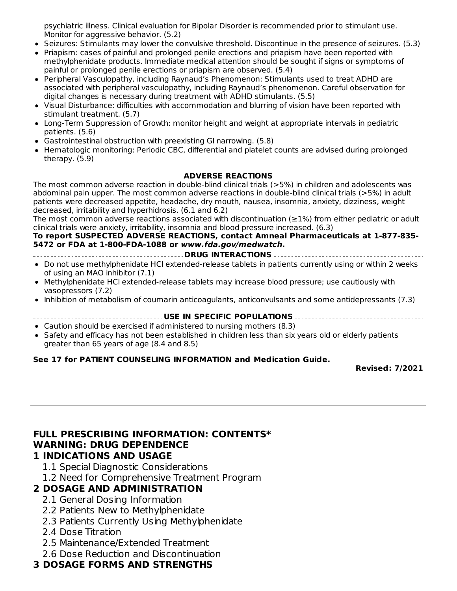symptoms in patients with no prior history, or exacerbation of symptoms in patients with preexisting psychiatric illness. Clinical evaluation for Bipolar Disorder is recommended prior to stimulant use. Monitor for aggressive behavior. (5.2)

- Seizures: Stimulants may lower the convulsive threshold. Discontinue in the presence of seizures. (5.3)
- Priapism: cases of painful and prolonged penile erections and priapism have been reported with methylphenidate products. Immediate medical attention should be sought if signs or symptoms of painful or prolonged penile erections or priapism are observed. (5.4)
- Peripheral Vasculopathy, including Raynaud's Phenomenon: Stimulants used to treat ADHD are associated with peripheral vasculopathy, including Raynaud's phenomenon. Careful observation for digital changes is necessary during treatment with ADHD stimulants. (5.5)
- Visual Disturbance: difficulties with accommodation and blurring of vision have been reported with stimulant treatment. (5.7)
- Long-Term Suppression of Growth: monitor height and weight at appropriate intervals in pediatric patients. (5.6)
- Gastrointestinal obstruction with preexisting GI narrowing. (5.8)
- Hematologic monitoring: Periodic CBC, differential and platelet counts are advised during prolonged therapy. (5.9)
- **ADVERSE REACTIONS** The most common adverse reaction in double-blind clinical trials (>5%) in children and adolescents was abdominal pain upper. The most common adverse reactions in double-blind clinical trials (>5%) in adult patients were decreased appetite, headache, dry mouth, nausea, insomnia, anxiety, dizziness, weight decreased, irritability and hyperhidrosis. (6.1 and 6.2) The most common adverse reactions associated with discontinuation (≥1%) from either pediatric or adult clinical trials were anxiety, irritability, insomnia and blood pressure increased. (6.3) **To report SUSPECTED ADVERSE REACTIONS, contact Amneal Pharmaceuticals at 1-877-835- 5472 or FDA at 1-800-FDA-1088 or www.fda.gov/medwatch. DRUG INTERACTIONS** Do not use methylphenidate HCl extended-release tablets in patients currently using or within 2 weeks of using an MAO inhibitor (7.1) Methylphenidate HCl extended-release tablets may increase blood pressure; use cautiously with  $\bullet$ vasopressors (7.2) Inhibition of metabolism of coumarin anticoagulants, anticonvulsants and some antidepressants (7.3)  $\bullet$
- **USE IN SPECIFIC POPULATIONS**
- Caution should be exercised if administered to nursing mothers (8.3)
- Safety and efficacy has not been established in children less than six years old or elderly patients greater than 65 years of age (8.4 and 8.5)

#### **See 17 for PATIENT COUNSELING INFORMATION and Medication Guide.**

**Revised: 7/2021**

#### **FULL PRESCRIBING INFORMATION: CONTENTS\* WARNING: DRUG DEPENDENCE**

#### **1 INDICATIONS AND USAGE**

- 1.1 Special Diagnostic Considerations
- 1.2 Need for Comprehensive Treatment Program

#### **2 DOSAGE AND ADMINISTRATION**

- 2.1 General Dosing Information
- 2.2 Patients New to Methylphenidate
- 2.3 Patients Currently Using Methylphenidate
- 2.4 Dose Titration
- 2.5 Maintenance/Extended Treatment
- 2.6 Dose Reduction and Discontinuation

# **3 DOSAGE FORMS AND STRENGTHS**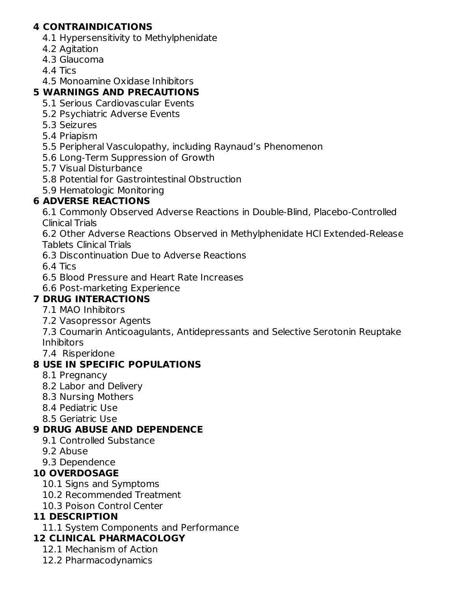### **4 CONTRAINDICATIONS**

- 4.1 Hypersensitivity to Methylphenidate
- 4.2 Agitation
- 4.3 Glaucoma
- 4.4 Tics
- 4.5 Monoamine Oxidase Inhibitors

# **5 WARNINGS AND PRECAUTIONS**

- 5.1 Serious Cardiovascular Events
- 5.2 Psychiatric Adverse Events
- 5.3 Seizures
- 5.4 Priapism
- 5.5 Peripheral Vasculopathy, including Raynaud's Phenomenon
- 5.6 Long-Term Suppression of Growth
- 5.7 Visual Disturbance
- 5.8 Potential for Gastrointestinal Obstruction
- 5.9 Hematologic Monitoring

# **6 ADVERSE REACTIONS**

6.1 Commonly Observed Adverse Reactions in Double-Blind, Placebo-Controlled Clinical Trials

6.2 Other Adverse Reactions Observed in Methylphenidate HCl Extended-Release Tablets Clinical Trials

6.3 Discontinuation Due to Adverse Reactions

6.4 Tics

6.5 Blood Pressure and Heart Rate Increases

6.6 Post-marketing Experience

# **7 DRUG INTERACTIONS**

- 7.1 MAO Inhibitors
- 7.2 Vasopressor Agents

7.3 Coumarin Anticoagulants, Antidepressants and Selective Serotonin Reuptake **Inhibitors** 

7.4 Risperidone

# **8 USE IN SPECIFIC POPULATIONS**

- 8.1 Pregnancy
- 8.2 Labor and Delivery
- 8.3 Nursing Mothers
- 8.4 Pediatric Use
- 8.5 Geriatric Use

# **9 DRUG ABUSE AND DEPENDENCE**

- 9.1 Controlled Substance
- 9.2 Abuse
- 9.3 Dependence

# **10 OVERDOSAGE**

- 10.1 Signs and Symptoms
- 10.2 Recommended Treatment
- 10.3 Poison Control Center

# **11 DESCRIPTION**

11.1 System Components and Performance

# **12 CLINICAL PHARMACOLOGY**

- 12.1 Mechanism of Action
- 12.2 Pharmacodynamics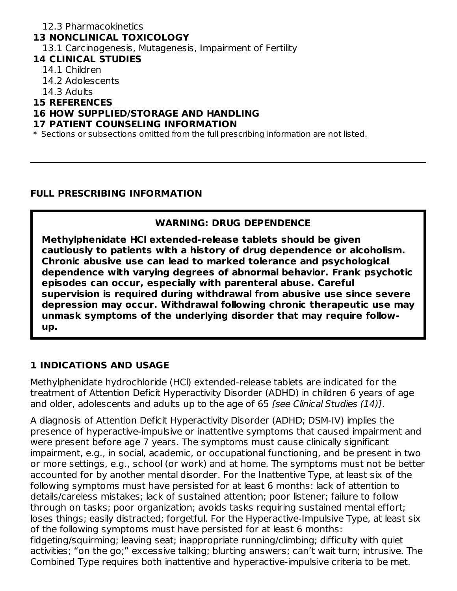# **13 NONCLINICAL TOXICOLOGY**

13.1 Carcinogenesis, Mutagenesis, Impairment of Fertility

#### **14 CLINICAL STUDIES**

- 14.1 Children
- 14.2 Adolescents
- 14.3 Adults
- **15 REFERENCES**

#### **16 HOW SUPPLIED/STORAGE AND HANDLING**

#### **17 PATIENT COUNSELING INFORMATION**

 $\ast$  Sections or subsections omitted from the full prescribing information are not listed.

### **FULL PRESCRIBING INFORMATION**

#### **WARNING: DRUG DEPENDENCE**

**Methylphenidate HCl extended-release tablets should be given cautiously to patients with a history of drug dependence or alcoholism. Chronic abusive use can lead to marked tolerance and psychological dependence with varying degrees of abnormal behavior. Frank psychotic episodes can occur, especially with parenteral abuse. Careful supervision is required during withdrawal from abusive use since severe depression may occur. Withdrawal following chronic therapeutic use may unmask symptoms of the underlying disorder that may require followup.**

#### **1 INDICATIONS AND USAGE**

Methylphenidate hydrochloride (HCl) extended-release tablets are indicated for the treatment of Attention Deficit Hyperactivity Disorder (ADHD) in children 6 years of age and older, adolescents and adults up to the age of 65 [see Clinical Studies (14)].

A diagnosis of Attention Deficit Hyperactivity Disorder (ADHD; DSM-IV) implies the presence of hyperactive-impulsive or inattentive symptoms that caused impairment and were present before age 7 years. The symptoms must cause clinically significant impairment, e.g., in social, academic, or occupational functioning, and be present in two or more settings, e.g., school (or work) and at home. The symptoms must not be better accounted for by another mental disorder. For the Inattentive Type, at least six of the following symptoms must have persisted for at least 6 months: lack of attention to details/careless mistakes; lack of sustained attention; poor listener; failure to follow through on tasks; poor organization; avoids tasks requiring sustained mental effort; loses things; easily distracted; forgetful. For the Hyperactive-Impulsive Type, at least six of the following symptoms must have persisted for at least 6 months: fidgeting/squirming; leaving seat; inappropriate running/climbing; difficulty with quiet activities; "on the go;" excessive talking; blurting answers; can't wait turn; intrusive. The Combined Type requires both inattentive and hyperactive-impulsive criteria to be met.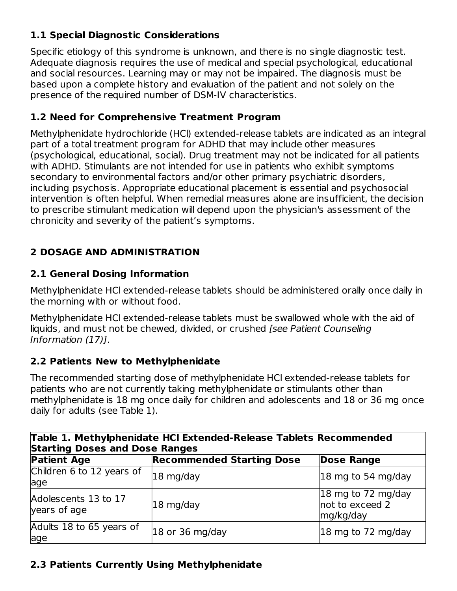# **1.1 Special Diagnostic Considerations**

Specific etiology of this syndrome is unknown, and there is no single diagnostic test. Adequate diagnosis requires the use of medical and special psychological, educational and social resources. Learning may or may not be impaired. The diagnosis must be based upon a complete history and evaluation of the patient and not solely on the presence of the required number of DSM-IV characteristics.

# **1.2 Need for Comprehensive Treatment Program**

Methylphenidate hydrochloride (HCl) extended-release tablets are indicated as an integral part of a total treatment program for ADHD that may include other measures (psychological, educational, social). Drug treatment may not be indicated for all patients with ADHD. Stimulants are not intended for use in patients who exhibit symptoms secondary to environmental factors and/or other primary psychiatric disorders, including psychosis. Appropriate educational placement is essential and psychosocial intervention is often helpful. When remedial measures alone are insufficient, the decision to prescribe stimulant medication will depend upon the physician's assessment of the chronicity and severity of the patient's symptoms.

# **2 DOSAGE AND ADMINISTRATION**

# **2.1 General Dosing Information**

Methylphenidate HCl extended-release tablets should be administered orally once daily in the morning with or without food.

Methylphenidate HCl extended-release tablets must be swallowed whole with the aid of liquids, and must not be chewed, divided, or crushed [see Patient Counseling] Information (17)].

### **2.2 Patients New to Methylphenidate**

The recommended starting dose of methylphenidate HCl extended-release tablets for patients who are not currently taking methylphenidate or stimulants other than methylphenidate is 18 mg once daily for children and adolescents and 18 or 36 mg once daily for adults (see Table 1).

| Table 1. Methylphenidate HCI Extended-Release Tablets Recommended<br><b>Starting Doses and Dose Ranges</b> |                                  |                                                      |  |
|------------------------------------------------------------------------------------------------------------|----------------------------------|------------------------------------------------------|--|
| <b>Patient Age</b>                                                                                         | <b>Recommended Starting Dose</b> | <b>Dose Range</b>                                    |  |
| Children 6 to 12 years of<br>age                                                                           | $ 18 \text{ mg}/day$             | $ 18 \text{ mg}$ to 54 mg/day                        |  |
| Adolescents 13 to 17<br>years of age                                                                       | $ 18 \text{ mg}/\text{day} $     | $18$ mg to 72 mg/day<br>not to exceed 2<br>mg/kg/day |  |
| Adults 18 to 65 years of<br>age                                                                            | $18$ or 36 mg/day                | $18$ mg to 72 mg/day                                 |  |

### **2.3 Patients Currently Using Methylphenidate**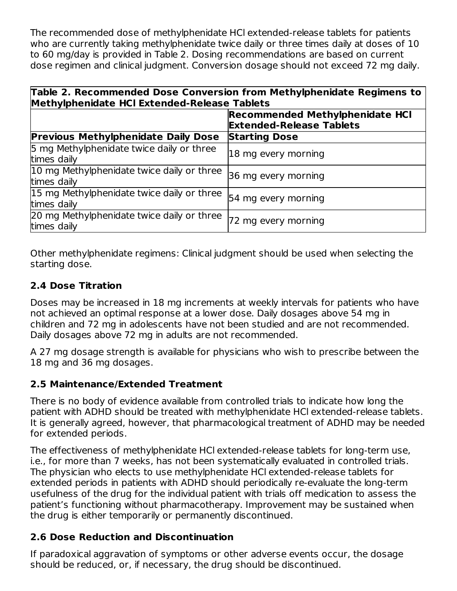The recommended dose of methylphenidate HCl extended-release tablets for patients who are currently taking methylphenidate twice daily or three times daily at doses of 10 to 60 mg/day is provided in Table 2. Dosing recommendations are based on current dose regimen and clinical judgment. Conversion dosage should not exceed 72 mg daily.

#### **Table 2. Recommended Dose Conversion from Methylphenidate Regimens to Methylphenidate HCl Extended-Release Tablets**

|                                                           | <b>Recommended Methylphenidate HCI</b><br><b>Extended-Release Tablets</b> |
|-----------------------------------------------------------|---------------------------------------------------------------------------|
| <b>Previous Methylphenidate Daily Dose</b>                | <b>Starting Dose</b>                                                      |
| 5 mg Methylphenidate twice daily or three<br>times daily  | 18 mg every morning                                                       |
| 10 mg Methylphenidate twice daily or three<br>times daily | 36 mg every morning                                                       |
| 15 mg Methylphenidate twice daily or three<br>times daily | 54 mg every morning                                                       |
| 20 mg Methylphenidate twice daily or three<br>times daily | 72 mg every morning                                                       |

Other methylphenidate regimens: Clinical judgment should be used when selecting the starting dose.

# **2.4 Dose Titration**

Doses may be increased in 18 mg increments at weekly intervals for patients who have not achieved an optimal response at a lower dose. Daily dosages above 54 mg in children and 72 mg in adolescents have not been studied and are not recommended. Daily dosages above 72 mg in adults are not recommended.

A 27 mg dosage strength is available for physicians who wish to prescribe between the 18 mg and 36 mg dosages.

# **2.5 Maintenance/Extended Treatment**

There is no body of evidence available from controlled trials to indicate how long the patient with ADHD should be treated with methylphenidate HCl extended-release tablets. It is generally agreed, however, that pharmacological treatment of ADHD may be needed for extended periods.

The effectiveness of methylphenidate HCl extended-release tablets for long-term use, i.e., for more than 7 weeks, has not been systematically evaluated in controlled trials. The physician who elects to use methylphenidate HCl extended-release tablets for extended periods in patients with ADHD should periodically re-evaluate the long-term usefulness of the drug for the individual patient with trials off medication to assess the patient's functioning without pharmacotherapy. Improvement may be sustained when the drug is either temporarily or permanently discontinued.

### **2.6 Dose Reduction and Discontinuation**

If paradoxical aggravation of symptoms or other adverse events occur, the dosage should be reduced, or, if necessary, the drug should be discontinued.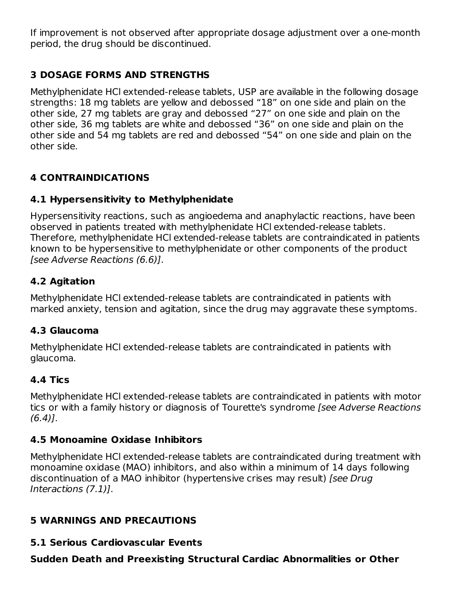If improvement is not observed after appropriate dosage adjustment over a one-month period, the drug should be discontinued.

# **3 DOSAGE FORMS AND STRENGTHS**

Methylphenidate HCl extended-release tablets, USP are available in the following dosage strengths: 18 mg tablets are yellow and debossed "18" on one side and plain on the other side, 27 mg tablets are gray and debossed "27" on one side and plain on the other side, 36 mg tablets are white and debossed "36" on one side and plain on the other side and 54 mg tablets are red and debossed "54" on one side and plain on the other side.

# **4 CONTRAINDICATIONS**

# **4.1 Hypersensitivity to Methylphenidate**

Hypersensitivity reactions, such as angioedema and anaphylactic reactions, have been observed in patients treated with methylphenidate HCl extended-release tablets. Therefore, methylphenidate HCl extended-release tablets are contraindicated in patients known to be hypersensitive to methylphenidate or other components of the product [see Adverse Reactions (6.6)].

# **4.2 Agitation**

Methylphenidate HCl extended-release tablets are contraindicated in patients with marked anxiety, tension and agitation, since the drug may aggravate these symptoms.

### **4.3 Glaucoma**

Methylphenidate HCl extended-release tablets are contraindicated in patients with glaucoma.

# **4.4 Tics**

Methylphenidate HCl extended-release tablets are contraindicated in patients with motor tics or with a family history or diagnosis of Tourette's syndrome [see Adverse Reactions  $(6.4)$ .

# **4.5 Monoamine Oxidase Inhibitors**

Methylphenidate HCl extended-release tablets are contraindicated during treatment with monoamine oxidase (MAO) inhibitors, and also within a minimum of 14 days following discontinuation of a MAO inhibitor (hypertensive crises may result) [see Drug] Interactions (7.1)].

# **5 WARNINGS AND PRECAUTIONS**

**5.1 Serious Cardiovascular Events**

# **Sudden Death and Preexisting Structural Cardiac Abnormalities or Other**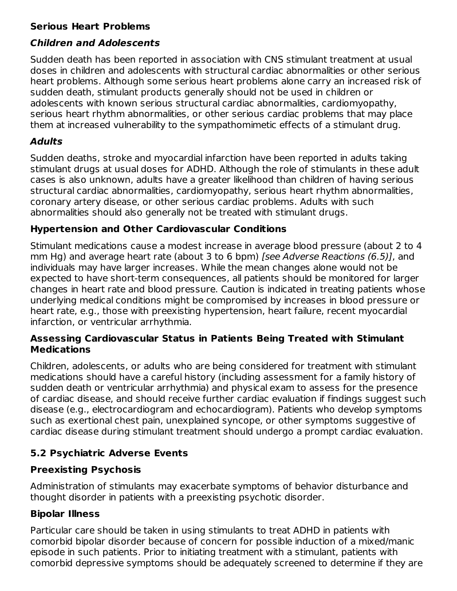### **Serious Heart Problems**

### **Children and Adolescents**

Sudden death has been reported in association with CNS stimulant treatment at usual doses in children and adolescents with structural cardiac abnormalities or other serious heart problems. Although some serious heart problems alone carry an increased risk of sudden death, stimulant products generally should not be used in children or adolescents with known serious structural cardiac abnormalities, cardiomyopathy, serious heart rhythm abnormalities, or other serious cardiac problems that may place them at increased vulnerability to the sympathomimetic effects of a stimulant drug.

#### **Adults**

Sudden deaths, stroke and myocardial infarction have been reported in adults taking stimulant drugs at usual doses for ADHD. Although the role of stimulants in these adult cases is also unknown, adults have a greater likelihood than children of having serious structural cardiac abnormalities, cardiomyopathy, serious heart rhythm abnormalities, coronary artery disease, or other serious cardiac problems. Adults with such abnormalities should also generally not be treated with stimulant drugs.

#### **Hypertension and Other Cardiovascular Conditions**

Stimulant medications cause a modest increase in average blood pressure (about 2 to 4 mm Hg) and average heart rate (about 3 to 6 bpm) [see Adverse Reactions (6.5)], and individuals may have larger increases. While the mean changes alone would not be expected to have short-term consequences, all patients should be monitored for larger changes in heart rate and blood pressure. Caution is indicated in treating patients whose underlying medical conditions might be compromised by increases in blood pressure or heart rate, e.g., those with preexisting hypertension, heart failure, recent myocardial infarction, or ventricular arrhythmia.

#### **Assessing Cardiovascular Status in Patients Being Treated with Stimulant Medications**

Children, adolescents, or adults who are being considered for treatment with stimulant medications should have a careful history (including assessment for a family history of sudden death or ventricular arrhythmia) and physical exam to assess for the presence of cardiac disease, and should receive further cardiac evaluation if findings suggest such disease (e.g., electrocardiogram and echocardiogram). Patients who develop symptoms such as exertional chest pain, unexplained syncope, or other symptoms suggestive of cardiac disease during stimulant treatment should undergo a prompt cardiac evaluation.

### **5.2 Psychiatric Adverse Events**

### **Preexisting Psychosis**

Administration of stimulants may exacerbate symptoms of behavior disturbance and thought disorder in patients with a preexisting psychotic disorder.

### **Bipolar Illness**

Particular care should be taken in using stimulants to treat ADHD in patients with comorbid bipolar disorder because of concern for possible induction of a mixed/manic episode in such patients. Prior to initiating treatment with a stimulant, patients with comorbid depressive symptoms should be adequately screened to determine if they are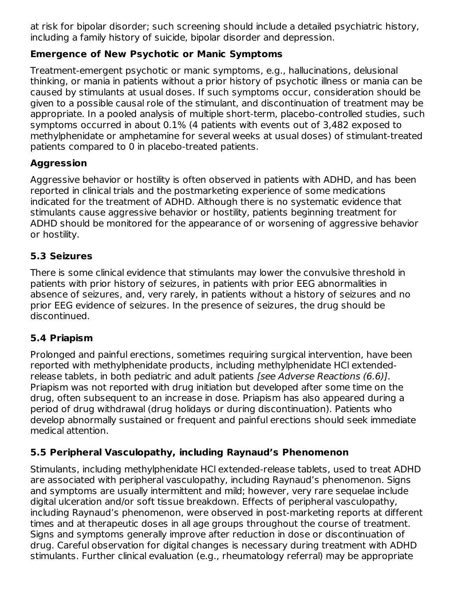at risk for bipolar disorder; such screening should include a detailed psychiatric history, including a family history of suicide, bipolar disorder and depression.

### **Emergence of New Psychotic or Manic Symptoms**

Treatment-emergent psychotic or manic symptoms, e.g., hallucinations, delusional thinking, or mania in patients without a prior history of psychotic illness or mania can be caused by stimulants at usual doses. If such symptoms occur, consideration should be given to a possible causal role of the stimulant, and discontinuation of treatment may be appropriate. In a pooled analysis of multiple short-term, placebo-controlled studies, such symptoms occurred in about 0.1% (4 patients with events out of 3,482 exposed to methylphenidate or amphetamine for several weeks at usual doses) of stimulant-treated patients compared to 0 in placebo-treated patients.

### **Aggression**

Aggressive behavior or hostility is often observed in patients with ADHD, and has been reported in clinical trials and the postmarketing experience of some medications indicated for the treatment of ADHD. Although there is no systematic evidence that stimulants cause aggressive behavior or hostility, patients beginning treatment for ADHD should be monitored for the appearance of or worsening of aggressive behavior or hostility.

#### **5.3 Seizures**

There is some clinical evidence that stimulants may lower the convulsive threshold in patients with prior history of seizures, in patients with prior EEG abnormalities in absence of seizures, and, very rarely, in patients without a history of seizures and no prior EEG evidence of seizures. In the presence of seizures, the drug should be discontinued.

#### **5.4 Priapism**

Prolonged and painful erections, sometimes requiring surgical intervention, have been reported with methylphenidate products, including methylphenidate HCl extendedrelease tablets, in both pediatric and adult patients [see Adverse Reactions (6.6)]. Priapism was not reported with drug initiation but developed after some time on the drug, often subsequent to an increase in dose. Priapism has also appeared during a period of drug withdrawal (drug holidays or during discontinuation). Patients who develop abnormally sustained or frequent and painful erections should seek immediate medical attention.

### **5.5 Peripheral Vasculopathy, including Raynaud's Phenomenon**

Stimulants, including methylphenidate HCl extended-release tablets, used to treat ADHD are associated with peripheral vasculopathy, including Raynaud's phenomenon. Signs and symptoms are usually intermittent and mild; however, very rare sequelae include digital ulceration and/or soft tissue breakdown. Effects of peripheral vasculopathy, including Raynaud's phenomenon, were observed in post-marketing reports at different times and at therapeutic doses in all age groups throughout the course of treatment. Signs and symptoms generally improve after reduction in dose or discontinuation of drug. Careful observation for digital changes is necessary during treatment with ADHD stimulants. Further clinical evaluation (e.g., rheumatology referral) may be appropriate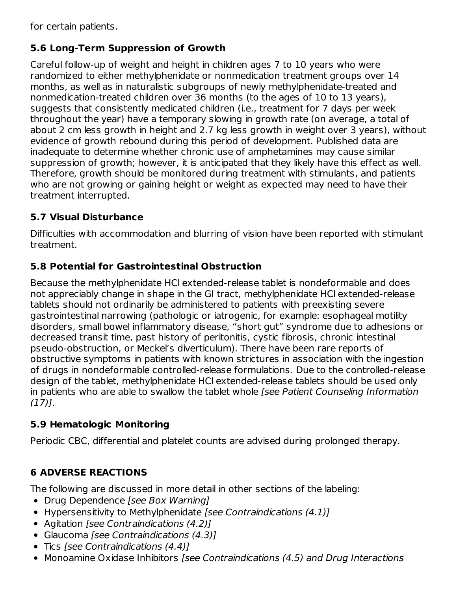for certain patients.

# **5.6 Long-Term Suppression of Growth**

Careful follow-up of weight and height in children ages 7 to 10 years who were randomized to either methylphenidate or nonmedication treatment groups over 14 months, as well as in naturalistic subgroups of newly methylphenidate-treated and nonmedication-treated children over 36 months (to the ages of 10 to 13 years), suggests that consistently medicated children (i.e., treatment for 7 days per week throughout the year) have a temporary slowing in growth rate (on average, a total of about 2 cm less growth in height and 2.7 kg less growth in weight over 3 years), without evidence of growth rebound during this period of development. Published data are inadequate to determine whether chronic use of amphetamines may cause similar suppression of growth; however, it is anticipated that they likely have this effect as well. Therefore, growth should be monitored during treatment with stimulants, and patients who are not growing or gaining height or weight as expected may need to have their treatment interrupted.

# **5.7 Visual Disturbance**

Difficulties with accommodation and blurring of vision have been reported with stimulant treatment.

# **5.8 Potential for Gastrointestinal Obstruction**

Because the methylphenidate HCl extended-release tablet is nondeformable and does not appreciably change in shape in the GI tract, methylphenidate HCl extended-release tablets should not ordinarily be administered to patients with preexisting severe gastrointestinal narrowing (pathologic or iatrogenic, for example: esophageal motility disorders, small bowel inflammatory disease, "short gut" syndrome due to adhesions or decreased transit time, past history of peritonitis, cystic fibrosis, chronic intestinal pseudo-obstruction, or Meckel's diverticulum). There have been rare reports of obstructive symptoms in patients with known strictures in association with the ingestion of drugs in nondeformable controlled-release formulations. Due to the controlled-release design of the tablet, methylphenidate HCl extended-release tablets should be used only in patients who are able to swallow the tablet whole [see Patient Counseling Information  $(17)$ ].

### **5.9 Hematologic Monitoring**

Periodic CBC, differential and platelet counts are advised during prolonged therapy.

# **6 ADVERSE REACTIONS**

The following are discussed in more detail in other sections of the labeling:

- Drug Dependence [see Box Warning]
- Hypersensitivity to Methylphenidate [see Contraindications (4.1)]
- Agitation [see Contraindications (4.2)]
- Glaucoma [see Contraindications (4.3)]
- Tics *[see Contraindications (4.4)]*
- Monoamine Oxidase Inhibitors [see Contraindications (4.5) and Drug Interactions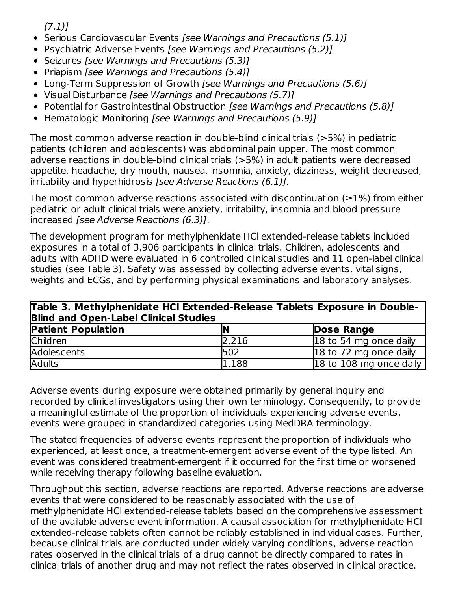$(7.1)$ ]

- Serious Cardiovascular Events [see Warnings and Precautions (5.1)]
- Psychiatric Adverse Events [see Warnings and Precautions (5.2)]
- Seizures [see Warnings and Precautions (5.3)]
- Priapism [see Warnings and Precautions (5.4)]
- Long-Term Suppression of Growth [see Warnings and Precautions (5.6)]
- Visual Disturbance [see Warnings and Precautions (5.7)]
- Potential for Gastrointestinal Obstruction [see Warnings and Precautions (5.8)]
- Hematologic Monitoring *[see Warnings and Precautions (5.9)]*

The most common adverse reaction in double-blind clinical trials (>5%) in pediatric patients (children and adolescents) was abdominal pain upper. The most common adverse reactions in double-blind clinical trials (>5%) in adult patients were decreased appetite, headache, dry mouth, nausea, insomnia, anxiety, dizziness, weight decreased, irritability and hyperhidrosis [see Adverse Reactions (6.1)].

The most common adverse reactions associated with discontinuation ( $\geq$ 1%) from either pediatric or adult clinical trials were anxiety, irritability, insomnia and blood pressure increased [see Adverse Reactions (6.3)].

The development program for methylphenidate HCl extended-release tablets included exposures in a total of 3,906 participants in clinical trials. Children, adolescents and adults with ADHD were evaluated in 6 controlled clinical studies and 11 open-label clinical studies (see Table 3). Safety was assessed by collecting adverse events, vital signs, weights and ECGs, and by performing physical examinations and laboratory analyses.

**Table 3. Methylphenidate HCl Extended-Release Tablets Exposure in Double-Blind and Open-Label Clinical Studies**

| <b>Patient Population</b> |       | Dose Range              |
|---------------------------|-------|-------------------------|
| Children                  | 2,216 | 18 to 54 mg once daily  |
| Adolescents               | 502   | 18 to 72 mg once daily  |
| Adults                    | 1,188 | 18 to 108 mg once daily |

Adverse events during exposure were obtained primarily by general inquiry and recorded by clinical investigators using their own terminology. Consequently, to provide a meaningful estimate of the proportion of individuals experiencing adverse events, events were grouped in standardized categories using MedDRA terminology.

The stated frequencies of adverse events represent the proportion of individuals who experienced, at least once, a treatment-emergent adverse event of the type listed. An event was considered treatment-emergent if it occurred for the first time or worsened while receiving therapy following baseline evaluation.

Throughout this section, adverse reactions are reported. Adverse reactions are adverse events that were considered to be reasonably associated with the use of methylphenidate HCl extended-release tablets based on the comprehensive assessment of the available adverse event information. A causal association for methylphenidate HCl extended-release tablets often cannot be reliably established in individual cases. Further, because clinical trials are conducted under widely varying conditions, adverse reaction rates observed in the clinical trials of a drug cannot be directly compared to rates in clinical trials of another drug and may not reflect the rates observed in clinical practice.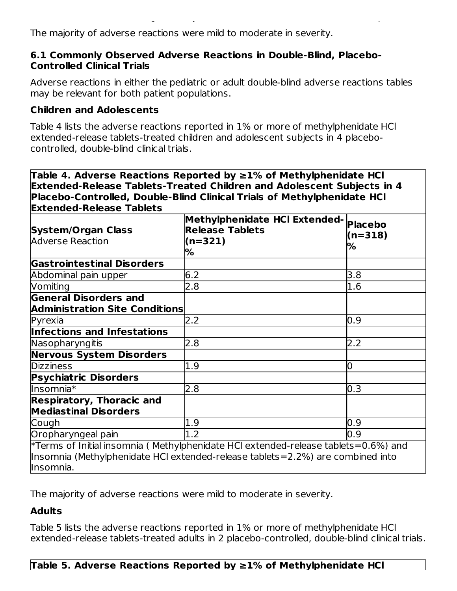The majority of adverse reactions were mild to moderate in severity.

#### **6.1 Commonly Observed Adverse Reactions in Double-Blind, Placebo-Controlled Clinical Trials**

Adverse reactions in either the pediatric or adult double-blind adverse reactions tables may be relevant for both patient populations.

clinical trials of another drug and may not reflect the rates observed in clinical practice.

#### **Children and Adolescents**

Table 4 lists the adverse reactions reported in 1% or more of methylphenidate HCl extended-release tablets-treated children and adolescent subjects in 4 placebocontrolled, double-blind clinical trials.

**Table 4. Adverse Reactions Reported by ≥1% of Methylphenidate HCl Extended-Release Tablets-Treated Children and Adolescent Subjects in 4 Placebo-Controlled, Double-Blind Clinical Trials of Methylphenidate HCl Extended-Release Tablets**

|                                       | <b>Methylphenidate HCI Extended-</b>                                                | <b>Placebo</b> |
|---------------------------------------|-------------------------------------------------------------------------------------|----------------|
| <b>System/Organ Class</b>             | <b>Release Tablets</b>                                                              | $(n=318)$      |
| <b>Adverse Reaction</b>               | $(n=321)$                                                                           | %              |
|                                       | %                                                                                   |                |
| <b>Gastrointestinal Disorders</b>     |                                                                                     |                |
| Abdominal pain upper                  | 6.2                                                                                 | 3.8            |
| Vomiting                              | 2.8                                                                                 | 1.6            |
| <b>General Disorders and</b>          |                                                                                     |                |
| <b>Administration Site Conditions</b> |                                                                                     |                |
| Pyrexia                               | 2.2                                                                                 | 0.9            |
| Infections and Infestations           |                                                                                     |                |
| Nasopharyngitis                       | 2.8                                                                                 | 2.2            |
| <b>Nervous System Disorders</b>       |                                                                                     |                |
| <b>Dizziness</b>                      | 1.9                                                                                 | 0              |
| <b>Psychiatric Disorders</b>          |                                                                                     |                |
| Insomnia <sup>*</sup>                 | 2.8                                                                                 | 0.3            |
| <b>Respiratory, Thoracic and</b>      |                                                                                     |                |
| <b>Mediastinal Disorders</b>          |                                                                                     |                |
| Cough                                 | 1.9                                                                                 | 0.9            |
| Oropharyngeal pain                    | 1.2                                                                                 | 0.9            |
|                                       | *Terms of Initial insomnia ( Methylphenidate HCl extended-release tablets=0.6%) and |                |
|                                       | Insomnia (Methylphenidate HCI extended-release tablets=2.2%) are combined into      |                |

Insomnia.

The majority of adverse reactions were mild to moderate in severity.

# **Adults**

Table 5 lists the adverse reactions reported in 1% or more of methylphenidate HCl extended-release tablets-treated adults in 2 placebo-controlled, double-blind clinical trials.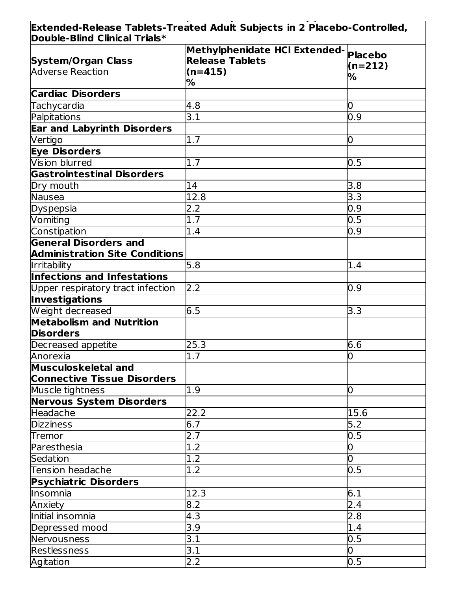**Table 5. Adverse Reactions Reported by ≥1% of Methylphenidate HCl Extended-Release Tablets-Treated Adult Subjects in 2 Placebo-Controlled, Double-Blind Clinical Trials\***

|                                       | Methylphenidate HCI Extended- |                |
|---------------------------------------|-------------------------------|----------------|
| <b>System/Organ Class</b>             | <b>Release Tablets</b>        | Placebo        |
| <b>Adverse Reaction</b>               | (n=415)                       | $(n=212)$      |
|                                       | %                             | %              |
| <b>Cardiac Disorders</b>              |                               |                |
| Tachycardia                           | 4.8                           | 0              |
| Palpitations                          | 3.1                           | 0.9            |
| <b>Ear and Labyrinth Disorders</b>    |                               |                |
| Vertigo                               | 1.7                           | 0              |
| <b>Eye Disorders</b>                  |                               |                |
| Vision blurred                        | 1.7                           | 0.5            |
| <b>Gastrointestinal Disorders</b>     |                               |                |
| Dry mouth                             | 14                            | 3.8            |
| <b>Nausea</b>                         | 12.8                          | 3.3            |
| Dyspepsia                             | 2.2                           | 0.9            |
| Vomiting                              | 1.7                           | 0.5            |
| Constipation                          | 1.4                           | 0.9            |
| <b>General Disorders and</b>          |                               |                |
| <b>Administration Site Conditions</b> |                               |                |
| Irritability                          | 5.8                           | 1.4            |
| Infections and Infestations           |                               |                |
| Upper respiratory tract infection     | 2.2                           | 0.9            |
| <b>Investigations</b>                 |                               |                |
| Weight decreased                      | 6.5                           | 3.3            |
| <b>Metabolism and Nutrition</b>       |                               |                |
| <b>Disorders</b>                      |                               |                |
| Decreased appetite                    | 25.3                          | 6.6            |
| Anorexia                              | 1.7                           | 0              |
| Musculoskeletal and                   |                               |                |
| <b>Connective Tissue Disorders</b>    |                               |                |
| Muscle tightness                      | 1.9                           | 0              |
| <b>Nervous System Disorders</b>       |                               |                |
| Headache                              | 22.2                          | 15.6           |
| <b>Dizziness</b>                      | 6.7                           | 5.2            |
| Tremor                                | 2.7                           | 0.5            |
| Paresthesia                           | 1.2                           | 0              |
| Sedation                              | 1.2                           | $\overline{0}$ |
| Tension headache                      | 1.2                           | 0.5            |
| <b>Psychiatric Disorders</b>          |                               |                |
| Insomnia                              | 12.3                          | 6.1            |
| Anxiety                               | 8.2                           | 2.4            |
| Initial insomnia                      | 4.3                           | 2.8            |
| Depressed mood                        | 3.9                           | 1.4            |
| Nervousness                           | 3.1                           | 0.5            |
| Restlessness                          | $\overline{3.1}$              | $\overline{0}$ |
| Agitation                             | 2.2                           | 0.5            |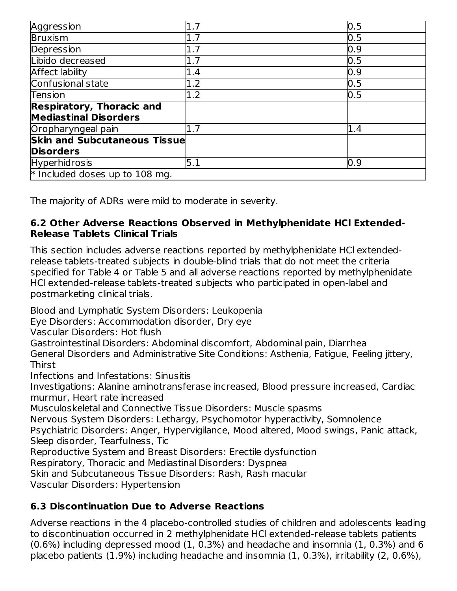| Aggression                          | 1.7 | 0.5 |
|-------------------------------------|-----|-----|
| <b>Bruxism</b>                      | 1.7 | 0.5 |
| Depression                          |     | 0.9 |
| Libido decreased                    | 1.7 | 0.5 |
| Affect lability                     | 1.4 | 0.9 |
| Confusional state                   | 1.2 | 0.5 |
| Tension                             | 1.2 | 0.5 |
| <b>Respiratory, Thoracic and</b>    |     |     |
| <b>Mediastinal Disorders</b>        |     |     |
| Oropharyngeal pain                  | 1.7 | 1.4 |
| <b>Skin and Subcutaneous Tissue</b> |     |     |
| <b>Disorders</b>                    |     |     |
| <b>Hyperhidrosis</b>                | 5.1 | 0.9 |
| $*$ Included doses up to 108 mg.    |     |     |

The majority of ADRs were mild to moderate in severity.

#### **6.2 Other Adverse Reactions Observed in Methylphenidate HCl Extended-Release Tablets Clinical Trials**

This section includes adverse reactions reported by methylphenidate HCl extendedrelease tablets-treated subjects in double-blind trials that do not meet the criteria specified for Table 4 or Table 5 and all adverse reactions reported by methylphenidate HCl extended-release tablets-treated subjects who participated in open-label and postmarketing clinical trials.

Blood and Lymphatic System Disorders: Leukopenia

Eye Disorders: Accommodation disorder, Dry eye

Vascular Disorders: Hot flush

Gastrointestinal Disorders: Abdominal discomfort, Abdominal pain, Diarrhea

General Disorders and Administrative Site Conditions: Asthenia, Fatigue, Feeling jittery, Thirst

Infections and Infestations: Sinusitis

Investigations: Alanine aminotransferase increased, Blood pressure increased, Cardiac murmur, Heart rate increased

Musculoskeletal and Connective Tissue Disorders: Muscle spasms

Nervous System Disorders: Lethargy, Psychomotor hyperactivity, Somnolence

Psychiatric Disorders: Anger, Hypervigilance, Mood altered, Mood swings, Panic attack, Sleep disorder, Tearfulness, Tic

Reproductive System and Breast Disorders: Erectile dysfunction

Respiratory, Thoracic and Mediastinal Disorders: Dyspnea

Skin and Subcutaneous Tissue Disorders: Rash, Rash macular

Vascular Disorders: Hypertension

# **6.3 Discontinuation Due to Adverse Reactions**

Adverse reactions in the 4 placebo-controlled studies of children and adolescents leading to discontinuation occurred in 2 methylphenidate HCl extended-release tablets patients (0.6%) including depressed mood (1, 0.3%) and headache and insomnia (1, 0.3%) and 6 placebo patients (1.9%) including headache and insomnia (1, 0.3%), irritability (2, 0.6%),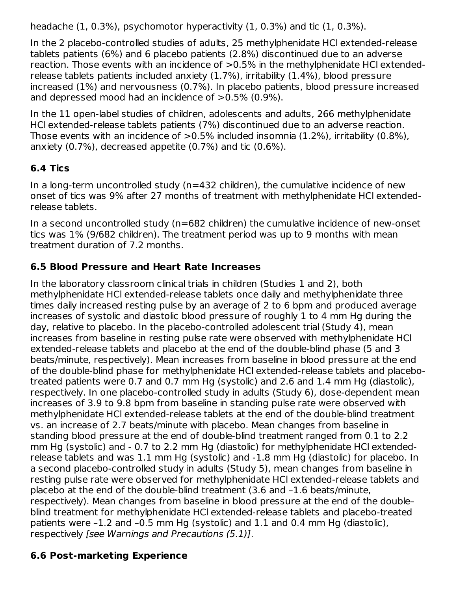headache (1, 0.3%), psychomotor hyperactivity (1, 0.3%) and tic (1, 0.3%).

In the 2 placebo-controlled studies of adults, 25 methylphenidate HCl extended-release tablets patients (6%) and 6 placebo patients (2.8%) discontinued due to an adverse reaction. Those events with an incidence of  $>0.5\%$  in the methylphenidate HCl extendedrelease tablets patients included anxiety (1.7%), irritability (1.4%), blood pressure increased (1%) and nervousness (0.7%). In placebo patients, blood pressure increased and depressed mood had an incidence of >0.5% (0.9%).

In the 11 open-label studies of children, adolescents and adults, 266 methylphenidate HCl extended-release tablets patients (7%) discontinued due to an adverse reaction. Those events with an incidence of  $>0.5\%$  included insomnia (1.2%), irritability (0.8%), anxiety (0.7%), decreased appetite (0.7%) and tic (0.6%).

# **6.4 Tics**

In a long-term uncontrolled study (n=432 children), the cumulative incidence of new onset of tics was 9% after 27 months of treatment with methylphenidate HCl extendedrelease tablets.

In a second uncontrolled study (n=682 children) the cumulative incidence of new-onset tics was 1% (9/682 children). The treatment period was up to 9 months with mean treatment duration of 7.2 months.

### **6.5 Blood Pressure and Heart Rate Increases**

In the laboratory classroom clinical trials in children (Studies 1 and 2), both methylphenidate HCl extended-release tablets once daily and methylphenidate three times daily increased resting pulse by an average of 2 to 6 bpm and produced average increases of systolic and diastolic blood pressure of roughly 1 to 4 mm Hg during the day, relative to placebo. In the placebo-controlled adolescent trial (Study 4), mean increases from baseline in resting pulse rate were observed with methylphenidate HCl extended-release tablets and placebo at the end of the double-blind phase (5 and 3 beats/minute, respectively). Mean increases from baseline in blood pressure at the end of the double-blind phase for methylphenidate HCl extended-release tablets and placebotreated patients were 0.7 and 0.7 mm Hg (systolic) and 2.6 and 1.4 mm Hg (diastolic), respectively. In one placebo-controlled study in adults (Study 6), dose-dependent mean increases of 3.9 to 9.8 bpm from baseline in standing pulse rate were observed with methylphenidate HCl extended-release tablets at the end of the double-blind treatment vs. an increase of 2.7 beats/minute with placebo. Mean changes from baseline in standing blood pressure at the end of double-blind treatment ranged from 0.1 to 2.2 mm Hg (systolic) and - 0.7 to 2.2 mm Hg (diastolic) for methylphenidate HCl extendedrelease tablets and was 1.1 mm Hg (systolic) and -1.8 mm Hg (diastolic) for placebo. In a second placebo-controlled study in adults (Study 5), mean changes from baseline in resting pulse rate were observed for methylphenidate HCl extended-release tablets and placebo at the end of the double-blind treatment (3.6 and –1.6 beats/minute, respectively). Mean changes from baseline in blood pressure at the end of the double– blind treatment for methylphenidate HCl extended-release tablets and placebo-treated patients were –1.2 and –0.5 mm Hg (systolic) and 1.1 and 0.4 mm Hg (diastolic), respectively [see Warnings and Precautions (5.1)].

### **6.6 Post-marketing Experience**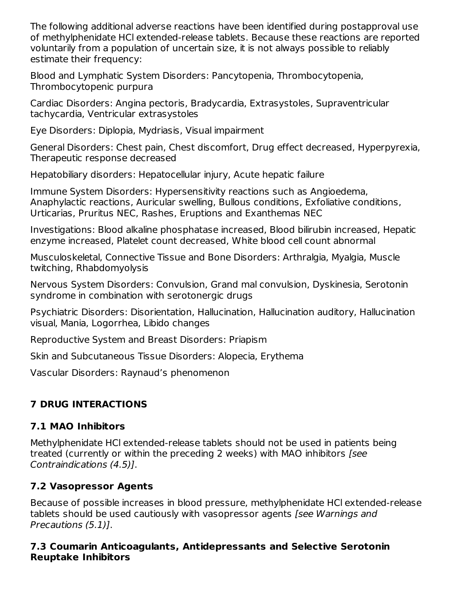The following additional adverse reactions have been identified during postapproval use of methylphenidate HCl extended-release tablets. Because these reactions are reported voluntarily from a population of uncertain size, it is not always possible to reliably estimate their frequency:

Blood and Lymphatic System Disorders: Pancytopenia, Thrombocytopenia, Thrombocytopenic purpura

Cardiac Disorders: Angina pectoris, Bradycardia, Extrasystoles, Supraventricular tachycardia, Ventricular extrasystoles

Eye Disorders: Diplopia, Mydriasis, Visual impairment

General Disorders: Chest pain, Chest discomfort, Drug effect decreased, Hyperpyrexia, Therapeutic response decreased

Hepatobiliary disorders: Hepatocellular injury, Acute hepatic failure

Immune System Disorders: Hypersensitivity reactions such as Angioedema, Anaphylactic reactions, Auricular swelling, Bullous conditions, Exfoliative conditions, Urticarias, Pruritus NEC, Rashes, Eruptions and Exanthemas NEC

Investigations: Blood alkaline phosphatase increased, Blood bilirubin increased, Hepatic enzyme increased, Platelet count decreased, White blood cell count abnormal

Musculoskeletal, Connective Tissue and Bone Disorders: Arthralgia, Myalgia, Muscle twitching, Rhabdomyolysis

Nervous System Disorders: Convulsion, Grand mal convulsion, Dyskinesia, Serotonin syndrome in combination with serotonergic drugs

Psychiatric Disorders: Disorientation, Hallucination, Hallucination auditory, Hallucination visual, Mania, Logorrhea, Libido changes

Reproductive System and Breast Disorders: Priapism

Skin and Subcutaneous Tissue Disorders: Alopecia, Erythema

Vascular Disorders: Raynaud's phenomenon

# **7 DRUG INTERACTIONS**

# **7.1 MAO Inhibitors**

Methylphenidate HCl extended-release tablets should not be used in patients being treated (currently or within the preceding 2 weeks) with MAO inhibitors [see Contraindications (4.5)].

# **7.2 Vasopressor Agents**

Because of possible increases in blood pressure, methylphenidate HCl extended-release tablets should be used cautiously with vasopressor agents *[see Warnings and* Precautions (5.1)].

### **7.3 Coumarin Anticoagulants, Antidepressants and Selective Serotonin Reuptake Inhibitors**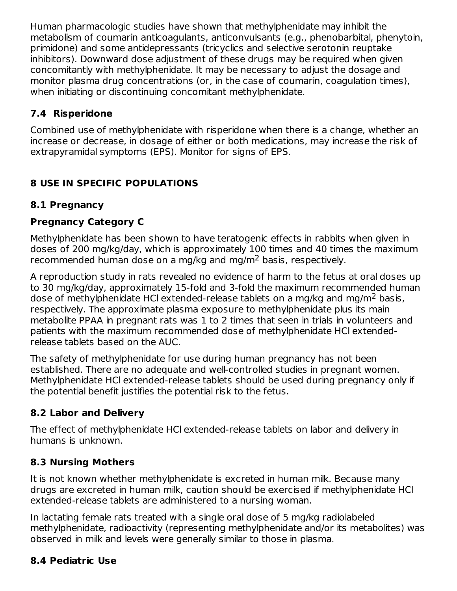Human pharmacologic studies have shown that methylphenidate may inhibit the metabolism of coumarin anticoagulants, anticonvulsants (e.g., phenobarbital, phenytoin, primidone) and some antidepressants (tricyclics and selective serotonin reuptake inhibitors). Downward dose adjustment of these drugs may be required when given concomitantly with methylphenidate. It may be necessary to adjust the dosage and monitor plasma drug concentrations (or, in the case of coumarin, coagulation times), when initiating or discontinuing concomitant methylphenidate.

# **7.4 Risperidone**

Combined use of methylphenidate with risperidone when there is a change, whether an increase or decrease, in dosage of either or both medications, may increase the risk of extrapyramidal symptoms (EPS). Monitor for signs of EPS.

# **8 USE IN SPECIFIC POPULATIONS**

### **8.1 Pregnancy**

# **Pregnancy Category C**

Methylphenidate has been shown to have teratogenic effects in rabbits when given in doses of 200 mg/kg/day, which is approximately 100 times and 40 times the maximum recommended human dose on a mg/kg and mg/m<sup>2</sup> basis, respectively.

A reproduction study in rats revealed no evidence of harm to the fetus at oral doses up to 30 mg/kg/day, approximately 15-fold and 3-fold the maximum recommended human dose of methylphenidate HCl extended-release tablets on a mg/kg and mg/m<sup>2</sup> basis, respectively. The approximate plasma exposure to methylphenidate plus its main metabolite PPAA in pregnant rats was 1 to 2 times that seen in trials in volunteers and patients with the maximum recommended dose of methylphenidate HCl extendedrelease tablets based on the AUC.

The safety of methylphenidate for use during human pregnancy has not been established. There are no adequate and well-controlled studies in pregnant women. Methylphenidate HCl extended-release tablets should be used during pregnancy only if the potential benefit justifies the potential risk to the fetus.

### **8.2 Labor and Delivery**

The effect of methylphenidate HCl extended-release tablets on labor and delivery in humans is unknown.

### **8.3 Nursing Mothers**

It is not known whether methylphenidate is excreted in human milk. Because many drugs are excreted in human milk, caution should be exercised if methylphenidate HCl extended-release tablets are administered to a nursing woman.

In lactating female rats treated with a single oral dose of 5 mg/kg radiolabeled methylphenidate, radioactivity (representing methylphenidate and/or its metabolites) was observed in milk and levels were generally similar to those in plasma.

### **8.4 Pediatric Use**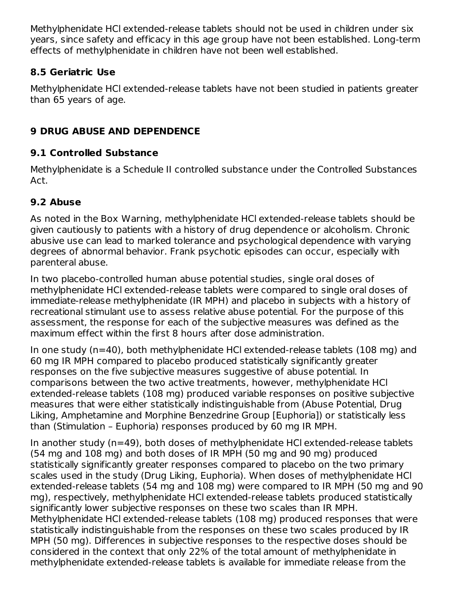Methylphenidate HCl extended-release tablets should not be used in children under six years, since safety and efficacy in this age group have not been established. Long-term effects of methylphenidate in children have not been well established.

# **8.5 Geriatric Use**

Methylphenidate HCl extended-release tablets have not been studied in patients greater than 65 years of age.

# **9 DRUG ABUSE AND DEPENDENCE**

# **9.1 Controlled Substance**

Methylphenidate is a Schedule II controlled substance under the Controlled Substances Act.

# **9.2 Abuse**

As noted in the Box Warning, methylphenidate HCl extended-release tablets should be given cautiously to patients with a history of drug dependence or alcoholism. Chronic abusive use can lead to marked tolerance and psychological dependence with varying degrees of abnormal behavior. Frank psychotic episodes can occur, especially with parenteral abuse.

In two placebo-controlled human abuse potential studies, single oral doses of methylphenidate HCl extended-release tablets were compared to single oral doses of immediate-release methylphenidate (IR MPH) and placebo in subjects with a history of recreational stimulant use to assess relative abuse potential. For the purpose of this assessment, the response for each of the subjective measures was defined as the maximum effect within the first 8 hours after dose administration.

In one study (n=40), both methylphenidate HCl extended-release tablets (108 mg) and 60 mg IR MPH compared to placebo produced statistically significantly greater responses on the five subjective measures suggestive of abuse potential. In comparisons between the two active treatments, however, methylphenidate HCl extended-release tablets (108 mg) produced variable responses on positive subjective measures that were either statistically indistinguishable from (Abuse Potential, Drug Liking, Amphetamine and Morphine Benzedrine Group [Euphoria]) or statistically less than (Stimulation – Euphoria) responses produced by 60 mg IR MPH.

In another study (n=49), both doses of methylphenidate HCl extended-release tablets (54 mg and 108 mg) and both doses of IR MPH (50 mg and 90 mg) produced statistically significantly greater responses compared to placebo on the two primary scales used in the study (Drug Liking, Euphoria). When doses of methylphenidate HCl extended-release tablets (54 mg and 108 mg) were compared to IR MPH (50 mg and 90 mg), respectively, methylphenidate HCl extended-release tablets produced statistically significantly lower subjective responses on these two scales than IR MPH. Methylphenidate HCl extended-release tablets (108 mg) produced responses that were statistically indistinguishable from the responses on these two scales produced by IR MPH (50 mg). Differences in subjective responses to the respective doses should be considered in the context that only 22% of the total amount of methylphenidate in methylphenidate extended-release tablets is available for immediate release from the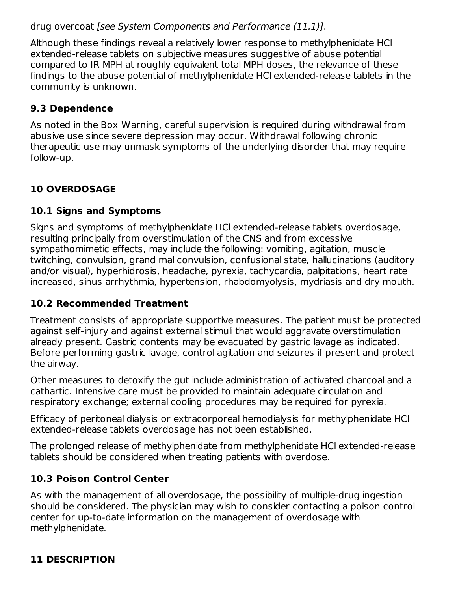drug overcoat [see System Components and Performance (11.1)].

Although these findings reveal a relatively lower response to methylphenidate HCl extended-release tablets on subjective measures suggestive of abuse potential compared to IR MPH at roughly equivalent total MPH doses, the relevance of these findings to the abuse potential of methylphenidate HCl extended-release tablets in the community is unknown.

# **9.3 Dependence**

As noted in the Box Warning, careful supervision is required during withdrawal from abusive use since severe depression may occur. Withdrawal following chronic therapeutic use may unmask symptoms of the underlying disorder that may require follow-up.

# **10 OVERDOSAGE**

# **10.1 Signs and Symptoms**

Signs and symptoms of methylphenidate HCl extended-release tablets overdosage, resulting principally from overstimulation of the CNS and from excessive sympathomimetic effects, may include the following: vomiting, agitation, muscle twitching, convulsion, grand mal convulsion, confusional state, hallucinations (auditory and/or visual), hyperhidrosis, headache, pyrexia, tachycardia, palpitations, heart rate increased, sinus arrhythmia, hypertension, rhabdomyolysis, mydriasis and dry mouth.

### **10.2 Recommended Treatment**

Treatment consists of appropriate supportive measures. The patient must be protected against self-injury and against external stimuli that would aggravate overstimulation already present. Gastric contents may be evacuated by gastric lavage as indicated. Before performing gastric lavage, control agitation and seizures if present and protect the airway.

Other measures to detoxify the gut include administration of activated charcoal and a cathartic. Intensive care must be provided to maintain adequate circulation and respiratory exchange; external cooling procedures may be required for pyrexia.

Efficacy of peritoneal dialysis or extracorporeal hemodialysis for methylphenidate HCl extended-release tablets overdosage has not been established.

The prolonged release of methylphenidate from methylphenidate HCl extended-release tablets should be considered when treating patients with overdose.

# **10.3 Poison Control Center**

As with the management of all overdosage, the possibility of multiple-drug ingestion should be considered. The physician may wish to consider contacting a poison control center for up-to-date information on the management of overdosage with methylphenidate.

# **11 DESCRIPTION**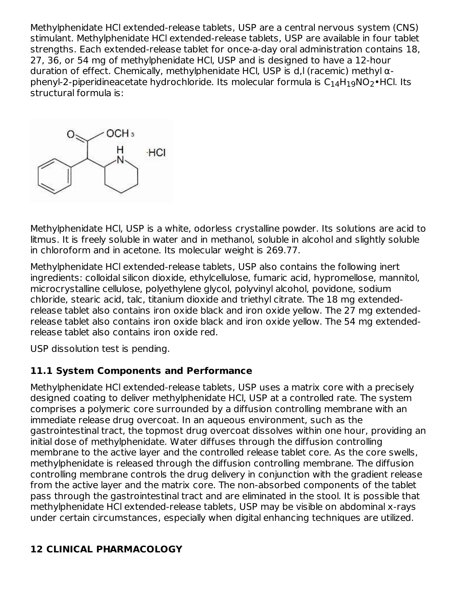Methylphenidate HCl extended-release tablets, USP are a central nervous system (CNS) stimulant. Methylphenidate HCl extended-release tablets, USP are available in four tablet strengths. Each extended-release tablet for once-a-day oral administration contains 18, 27, 36, or 54 mg of methylphenidate HCl, USP and is designed to have a 12-hour duration of effect. Chemically, methylphenidate HCl, USP is d,l (racemic) methyl αphenyl-2-piperidineacetate hydrochloride. Its molecular formula is  $\mathsf{C}_{14}\mathsf{H}_{19}\mathsf{NO}_{2}\bullet \mathsf{HCl}.$  Its structural formula is:



Methylphenidate HCl, USP is a white, odorless crystalline powder. Its solutions are acid to litmus. It is freely soluble in water and in methanol, soluble in alcohol and slightly soluble in chloroform and in acetone. Its molecular weight is 269.77.

Methylphenidate HCl extended-release tablets, USP also contains the following inert ingredients: colloidal silicon dioxide, ethylcellulose, fumaric acid, hypromellose, mannitol, microcrystalline cellulose, polyethylene glycol, polyvinyl alcohol, povidone, sodium chloride, stearic acid, talc, titanium dioxide and triethyl citrate. The 18 mg extendedrelease tablet also contains iron oxide black and iron oxide yellow. The 27 mg extendedrelease tablet also contains iron oxide black and iron oxide yellow. The 54 mg extendedrelease tablet also contains iron oxide red.

USP dissolution test is pending.

# **11.1 System Components and Performance**

Methylphenidate HCl extended-release tablets, USP uses a matrix core with a precisely designed coating to deliver methylphenidate HCl, USP at a controlled rate. The system comprises a polymeric core surrounded by a diffusion controlling membrane with an immediate release drug overcoat. In an aqueous environment, such as the gastrointestinal tract, the topmost drug overcoat dissolves within one hour, providing an initial dose of methylphenidate. Water diffuses through the diffusion controlling membrane to the active layer and the controlled release tablet core. As the core swells, methylphenidate is released through the diffusion controlling membrane. The diffusion controlling membrane controls the drug delivery in conjunction with the gradient release from the active layer and the matrix core. The non-absorbed components of the tablet pass through the gastrointestinal tract and are eliminated in the stool. It is possible that methylphenidate HCl extended-release tablets, USP may be visible on abdominal x-rays under certain circumstances, especially when digital enhancing techniques are utilized.

# **12 CLINICAL PHARMACOLOGY**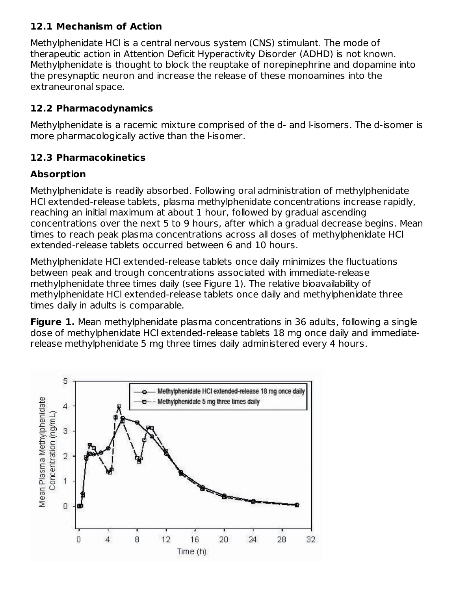# **12.1 Mechanism of Action**

Methylphenidate HCl is a central nervous system (CNS) stimulant. The mode of therapeutic action in Attention Deficit Hyperactivity Disorder (ADHD) is not known. Methylphenidate is thought to block the reuptake of norepinephrine and dopamine into the presynaptic neuron and increase the release of these monoamines into the extraneuronal space.

# **12.2 Pharmacodynamics**

Methylphenidate is a racemic mixture comprised of the d- and l-isomers. The d-isomer is more pharmacologically active than the l-isomer.

# **12.3 Pharmacokinetics**

# **Absorption**

Methylphenidate is readily absorbed. Following oral administration of methylphenidate HCl extended-release tablets, plasma methylphenidate concentrations increase rapidly, reaching an initial maximum at about 1 hour, followed by gradual ascending concentrations over the next 5 to 9 hours, after which a gradual decrease begins. Mean times to reach peak plasma concentrations across all doses of methylphenidate HCl extended-release tablets occurred between 6 and 10 hours.

Methylphenidate HCl extended-release tablets once daily minimizes the fluctuations between peak and trough concentrations associated with immediate-release methylphenidate three times daily (see Figure 1). The relative bioavailability of methylphenidate HCl extended-release tablets once daily and methylphenidate three times daily in adults is comparable.

**Figure 1.** Mean methylphenidate plasma concentrations in 36 adults, following a single dose of methylphenidate HCl extended-release tablets 18 mg once daily and immediaterelease methylphenidate 5 mg three times daily administered every 4 hours.

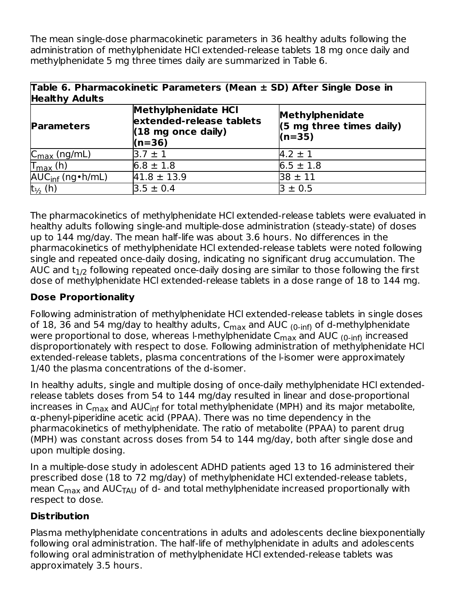The mean single-dose pharmacokinetic parameters in 36 healthy adults following the administration of methylphenidate HCl extended-release tablets 18 mg once daily and methylphenidate 5 mg three times daily are summarized in Table 6.

| Table 6. Pharmacokinetic Parameters (Mean ± SD) After Single Dose in<br><b>Healthy Adults</b> |                                                                                             |                                                                   |
|-----------------------------------------------------------------------------------------------|---------------------------------------------------------------------------------------------|-------------------------------------------------------------------|
| <b>Parameters</b>                                                                             | Methylphenidate HCI<br>extended-release tablets<br>$(18 \text{ mg once daily})$<br>$(n=36)$ | Methylphenidate<br>$(5 \text{ mg three times daily})$<br>$(n=35)$ |
| $C_{\text{max}}$ (ng/mL)                                                                      | $3.7 \pm 1$                                                                                 | $4.2 \pm 1$                                                       |
| $T_{\sf max}$ (h)                                                                             | $6.8 \pm 1.8$                                                                               | $6.5 \pm 1.8$                                                     |
| $AUC_{inf}$ (ng • h/mL)                                                                       | $41.8 \pm 13.9$                                                                             | $38 \pm 11$                                                       |
| $t_{\frac{1}{2}}$ (h)                                                                         | $3.5 \pm 0.4$                                                                               | $3 \pm 0.5$                                                       |

The pharmacokinetics of methylphenidate HCl extended-release tablets were evaluated in healthy adults following single-and multiple-dose administration (steady-state) of doses up to 144 mg/day. The mean half-life was about 3.6 hours. No differences in the pharmacokinetics of methylphenidate HCl extended-release tablets were noted following single and repeated once-daily dosing, indicating no significant drug accumulation. The AUC and  $\rm t_{1/2}$  following repeated once-daily dosing are similar to those following the first dose of methylphenidate HCl extended-release tablets in a dose range of 18 to 144 mg.

### **Dose Proportionality**

Following administration of methylphenidate HCl extended-release tablets in single doses of 18, 36 and 54 mg/day to healthy adults, C<sub>max</sub> and AUC <sub>(0-inf)</sub> of d-methylphenidate were proportional to dose, whereas l-methylphenidate C<sub>max</sub> and AUC <sub>(0-inf)</sub> increased disproportionately with respect to dose. Following administration of methylphenidate HCl extended-release tablets, plasma concentrations of the l-isomer were approximately 1/40 the plasma concentrations of the d-isomer.

In healthy adults, single and multiple dosing of once-daily methylphenidate HCl extendedrelease tablets doses from 54 to 144 mg/day resulted in linear and dose-proportional increases in C<sub>max</sub> and AUC<sub>inf</sub> for total methylphenidate (MPH) and its major metabolite, α-phenyl-piperidine acetic acid (PPAA). There was no time dependency in the pharmacokinetics of methylphenidate. The ratio of metabolite (PPAA) to parent drug (MPH) was constant across doses from 54 to 144 mg/day, both after single dose and upon multiple dosing.

In a multiple-dose study in adolescent ADHD patients aged 13 to 16 administered their prescribed dose (18 to 72 mg/day) of methylphenidate HCl extended-release tablets, mean C $_{\sf max}$  and AUC $_{\sf TAU}$  of d- and total methylphenidate increased proportionally with respect to dose.

# **Distribution**

Plasma methylphenidate concentrations in adults and adolescents decline biexponentially following oral administration. The half-life of methylphenidate in adults and adolescents following oral administration of methylphenidate HCl extended-release tablets was approximately 3.5 hours.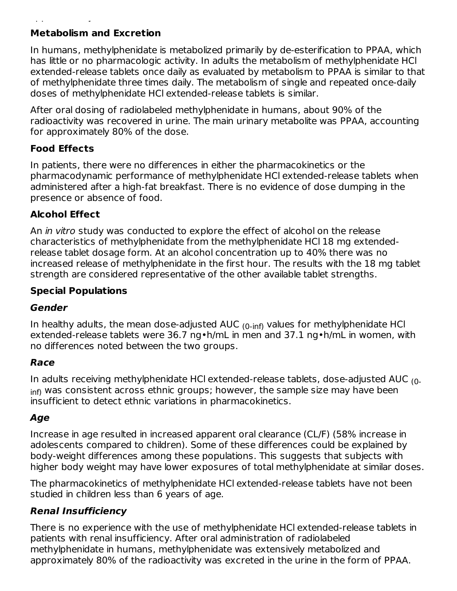# **Metabolism and Excretion**

approximately 3.5 hours.

In humans, methylphenidate is metabolized primarily by de-esterification to PPAA, which has little or no pharmacologic activity. In adults the metabolism of methylphenidate HCl extended-release tablets once daily as evaluated by metabolism to PPAA is similar to that of methylphenidate three times daily. The metabolism of single and repeated once-daily doses of methylphenidate HCl extended-release tablets is similar.

After oral dosing of radiolabeled methylphenidate in humans, about 90% of the radioactivity was recovered in urine. The main urinary metabolite was PPAA, accounting for approximately 80% of the dose.

# **Food Effects**

In patients, there were no differences in either the pharmacokinetics or the pharmacodynamic performance of methylphenidate HCl extended-release tablets when administered after a high-fat breakfast. There is no evidence of dose dumping in the presence or absence of food.

# **Alcohol Effect**

An *in vitro* study was conducted to explore the effect of alcohol on the release characteristics of methylphenidate from the methylphenidate HCl 18 mg extendedrelease tablet dosage form. At an alcohol concentration up to 40% there was no increased release of methylphenidate in the first hour. The results with the 18 mg tablet strength are considered representative of the other available tablet strengths.

# **Special Populations**

### **Gender**

In healthy adults, the mean dose-adjusted AUC <sub>(0-inf)</sub> values for methylphenidate HCl extended-release tablets were 36.7 ng•h/mL in men and 37.1 ng•h/mL in women, with no differences noted between the two groups.

### **Race**

In adults receiving methylphenidate HCl extended-release tablets, dose-adjusted AUC (0-  $_{\mathsf{inf})}$  was consistent across ethnic groups; however, the sample size may have been insufficient to detect ethnic variations in pharmacokinetics.

# **Age**

Increase in age resulted in increased apparent oral clearance (CL/F) (58% increase in adolescents compared to children). Some of these differences could be explained by body-weight differences among these populations. This suggests that subjects with higher body weight may have lower exposures of total methylphenidate at similar doses.

The pharmacokinetics of methylphenidate HCl extended-release tablets have not been studied in children less than 6 years of age.

# **Renal Insufficiency**

There is no experience with the use of methylphenidate HCl extended-release tablets in patients with renal insufficiency. After oral administration of radiolabeled methylphenidate in humans, methylphenidate was extensively metabolized and approximately 80% of the radioactivity was excreted in the urine in the form of PPAA.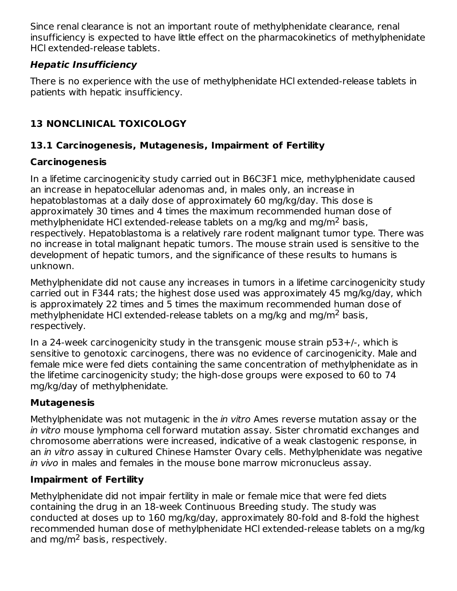Since renal clearance is not an important route of methylphenidate clearance, renal insufficiency is expected to have little effect on the pharmacokinetics of methylphenidate HCl extended-release tablets.

# **Hepatic Insufficiency**

There is no experience with the use of methylphenidate HCl extended-release tablets in patients with hepatic insufficiency.

# **13 NONCLINICAL TOXICOLOGY**

# **13.1 Carcinogenesis, Mutagenesis, Impairment of Fertility**

# **Carcinogenesis**

In a lifetime carcinogenicity study carried out in B6C3F1 mice, methylphenidate caused an increase in hepatocellular adenomas and, in males only, an increase in hepatoblastomas at a daily dose of approximately 60 mg/kg/day. This dose is approximately 30 times and 4 times the maximum recommended human dose of methylphenidate HCl extended-release tablets on a mg/kg and mg/m<sup>2</sup> basis, respectively. Hepatoblastoma is a relatively rare rodent malignant tumor type. There was no increase in total malignant hepatic tumors. The mouse strain used is sensitive to the development of hepatic tumors, and the significance of these results to humans is unknown.

Methylphenidate did not cause any increases in tumors in a lifetime carcinogenicity study carried out in F344 rats; the highest dose used was approximately 45 mg/kg/day, which is approximately 22 times and 5 times the maximum recommended human dose of methylphenidate HCl extended-release tablets on a mg/kg and mg/m<sup>2</sup> basis, respectively.

In a 24-week carcinogenicity study in the transgenic mouse strain p53+/-, which is sensitive to genotoxic carcinogens, there was no evidence of carcinogenicity. Male and female mice were fed diets containing the same concentration of methylphenidate as in the lifetime carcinogenicity study; the high-dose groups were exposed to 60 to 74 mg/kg/day of methylphenidate.

# **Mutagenesis**

Methylphenidate was not mutagenic in the in vitro Ames reverse mutation assay or the in vitro mouse lymphoma cell forward mutation assay. Sister chromatid exchanges and chromosome aberrations were increased, indicative of a weak clastogenic response, in an in vitro assay in cultured Chinese Hamster Ovary cells. Methylphenidate was negative in vivo in males and females in the mouse bone marrow micronucleus assay.

# **Impairment of Fertility**

Methylphenidate did not impair fertility in male or female mice that were fed diets containing the drug in an 18-week Continuous Breeding study. The study was conducted at doses up to 160 mg/kg/day, approximately 80-fold and 8-fold the highest recommended human dose of methylphenidate HCl extended-release tablets on a mg/kg and mg/m<sup>2</sup> basis, respectively.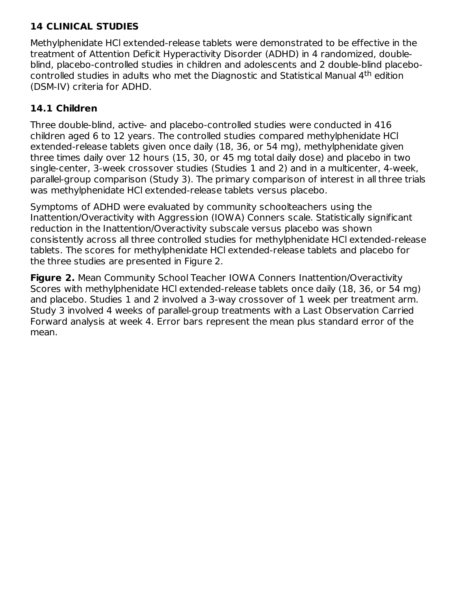# **14 CLINICAL STUDIES**

Methylphenidate HCl extended-release tablets were demonstrated to be effective in the treatment of Attention Deficit Hyperactivity Disorder (ADHD) in 4 randomized, doubleblind, placebo-controlled studies in children and adolescents and 2 double-blind placebocontrolled studies in adults who met the Diagnostic and Statistical Manual 4<sup>th</sup> edition (DSM-IV) criteria for ADHD.

# **14.1 Children**

Three double-blind, active- and placebo-controlled studies were conducted in 416 children aged 6 to 12 years. The controlled studies compared methylphenidate HCl extended-release tablets given once daily (18, 36, or 54 mg), methylphenidate given three times daily over 12 hours (15, 30, or 45 mg total daily dose) and placebo in two single-center, 3-week crossover studies (Studies 1 and 2) and in a multicenter, 4-week, parallel-group comparison (Study 3). The primary comparison of interest in all three trials was methylphenidate HCl extended-release tablets versus placebo.

Symptoms of ADHD were evaluated by community schoolteachers using the Inattention/Overactivity with Aggression (IOWA) Conners scale. Statistically significant reduction in the Inattention/Overactivity subscale versus placebo was shown consistently across all three controlled studies for methylphenidate HCl extended-release tablets. The scores for methylphenidate HCl extended-release tablets and placebo for the three studies are presented in Figure 2.

**Figure 2.** Mean Community School Teacher IOWA Conners Inattention/Overactivity Scores with methylphenidate HCl extended-release tablets once daily (18, 36, or 54 mg) and placebo. Studies 1 and 2 involved a 3-way crossover of 1 week per treatment arm. Study 3 involved 4 weeks of parallel-group treatments with a Last Observation Carried Forward analysis at week 4. Error bars represent the mean plus standard error of the mean.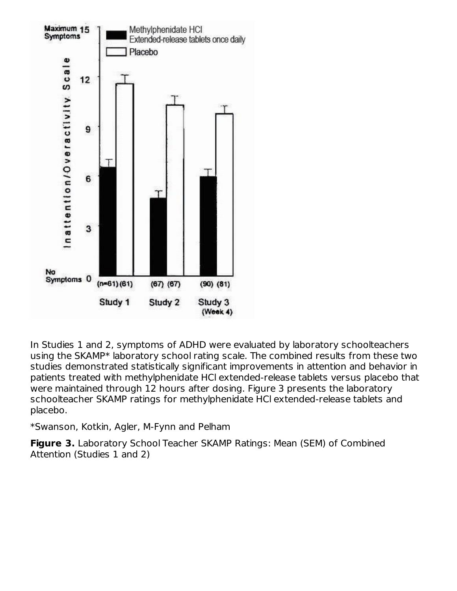

In Studies 1 and 2, symptoms of ADHD were evaluated by laboratory schoolteachers using the SKAMP\* laboratory school rating scale. The combined results from these two studies demonstrated statistically significant improvements in attention and behavior in patients treated with methylphenidate HCl extended-release tablets versus placebo that were maintained through 12 hours after dosing. Figure 3 presents the laboratory schoolteacher SKAMP ratings for methylphenidate HCl extended-release tablets and placebo.

\*Swanson, Kotkin, Agler, M-Fynn and Pelham

**Figure 3.** Laboratory School Teacher SKAMP Ratings: Mean (SEM) of Combined Attention (Studies 1 and 2)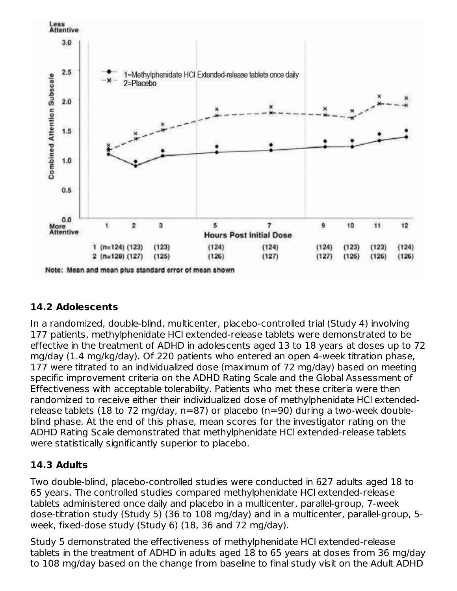

# **14.2 Adolescents**

In a randomized, double-blind, multicenter, placebo-controlled trial (Study 4) involving 177 patients, methylphenidate HCl extended-release tablets were demonstrated to be effective in the treatment of ADHD in adolescents aged 13 to 18 years at doses up to 72 mg/day (1.4 mg/kg/day). Of 220 patients who entered an open 4-week titration phase, 177 were titrated to an individualized dose (maximum of 72 mg/day) based on meeting specific improvement criteria on the ADHD Rating Scale and the Global Assessment of Effectiveness with acceptable tolerability. Patients who met these criteria were then randomized to receive either their individualized dose of methylphenidate HCl extendedrelease tablets (18 to 72 mg/day, n=87) or placebo (n=90) during a two-week doubleblind phase. At the end of this phase, mean scores for the investigator rating on the ADHD Rating Scale demonstrated that methylphenidate HCl extended-release tablets were statistically significantly superior to placebo.

### **14.3 Adults**

Two double-blind, placebo-controlled studies were conducted in 627 adults aged 18 to 65 years. The controlled studies compared methylphenidate HCl extended-release tablets administered once daily and placebo in a multicenter, parallel-group, 7-week dose-titration study (Study 5) (36 to 108 mg/day) and in a multicenter, parallel-group, 5 week, fixed-dose study (Study 6) (18, 36 and 72 mg/day).

Study 5 demonstrated the effectiveness of methylphenidate HCl extended-release tablets in the treatment of ADHD in adults aged 18 to 65 years at doses from 36 mg/day to 108 mg/day based on the change from baseline to final study visit on the Adult ADHD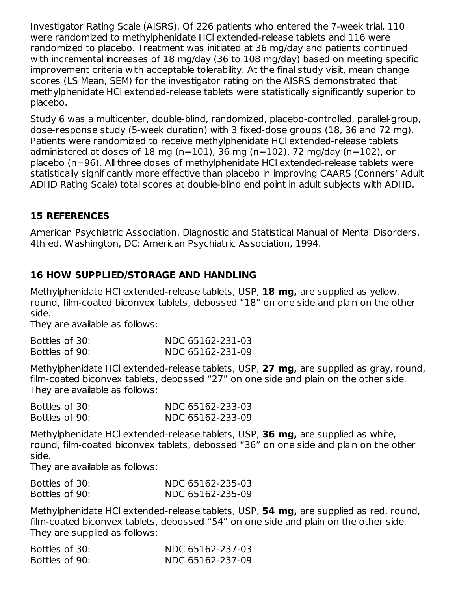Investigator Rating Scale (AISRS). Of 226 patients who entered the 7-week trial, 110 were randomized to methylphenidate HCl extended-release tablets and 116 were randomized to placebo. Treatment was initiated at 36 mg/day and patients continued with incremental increases of 18 mg/day (36 to 108 mg/day) based on meeting specific improvement criteria with acceptable tolerability. At the final study visit, mean change scores (LS Mean, SEM) for the investigator rating on the AISRS demonstrated that methylphenidate HCl extended-release tablets were statistically significantly superior to placebo.

Study 6 was a multicenter, double-blind, randomized, placebo-controlled, parallel-group, dose-response study (5-week duration) with 3 fixed-dose groups (18, 36 and 72 mg). Patients were randomized to receive methylphenidate HCl extended-release tablets administered at doses of 18 mg (n=101), 36 mg (n=102), 72 mg/day (n=102), or placebo (n=96). All three doses of methylphenidate HCl extended-release tablets were statistically significantly more effective than placebo in improving CAARS (Conners' Adult ADHD Rating Scale) total scores at double-blind end point in adult subjects with ADHD.

### **15 REFERENCES**

American Psychiatric Association. Diagnostic and Statistical Manual of Mental Disorders. 4th ed. Washington, DC: American Psychiatric Association, 1994.

### **16 HOW SUPPLIED/STORAGE AND HANDLING**

Methylphenidate HCl extended-release tablets, USP, **18 mg,** are supplied as yellow, round, film-coated biconvex tablets, debossed "18" on one side and plain on the other side.

They are available as follows:

| Bottles of 30: | NDC 65162-231-03 |
|----------------|------------------|
| Bottles of 90: | NDC 65162-231-09 |

Methylphenidate HCl extended-release tablets, USP, **27 mg,** are supplied as gray, round, film-coated biconvex tablets, debossed "27" on one side and plain on the other side. They are available as follows:

| Bottles of 30: | NDC 65162-233-03 |
|----------------|------------------|
| Bottles of 90: | NDC 65162-233-09 |

Methylphenidate HCl extended-release tablets, USP, **36 mg,** are supplied as white, round, film-coated biconvex tablets, debossed "36" on one side and plain on the other side.

They are available as follows:

| Bottles of 30: | NDC 65162-235-03 |
|----------------|------------------|
| Bottles of 90: | NDC 65162-235-09 |

Methylphenidate HCl extended-release tablets, USP, **54 mg,** are supplied as red, round, film-coated biconvex tablets, debossed "54" on one side and plain on the other side. They are supplied as follows:

| Bottles of 30: | NDC 65162-237-03 |
|----------------|------------------|
| Bottles of 90: | NDC 65162-237-09 |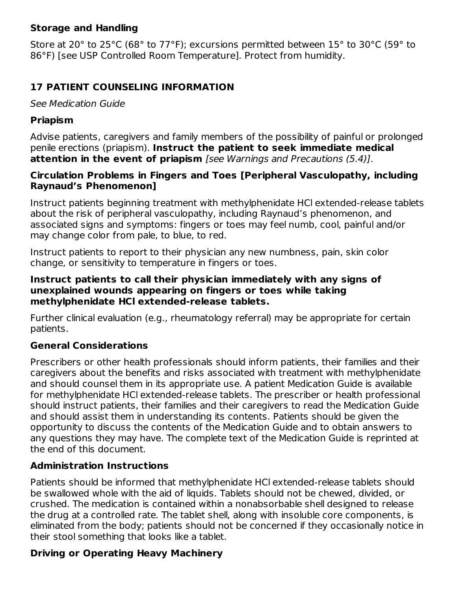#### **Storage and Handling**

Store at 20° to 25°C (68° to 77°F); excursions permitted between 15° to 30°C (59° to 86°F) [see USP Controlled Room Temperature]. Protect from humidity.

# **17 PATIENT COUNSELING INFORMATION**

#### See Medication Guide

#### **Priapism**

Advise patients, caregivers and family members of the possibility of painful or prolonged penile erections (priapism). **Instruct the patient to seek immediate medical attention in the event of priapism** [see Warnings and Precautions (5.4)].

#### **Circulation Problems in Fingers and Toes [Peripheral Vasculopathy, including Raynaud's Phenomenon]**

Instruct patients beginning treatment with methylphenidate HCl extended-release tablets about the risk of peripheral vasculopathy, including Raynaud's phenomenon, and associated signs and symptoms: fingers or toes may feel numb, cool, painful and/or may change color from pale, to blue, to red.

Instruct patients to report to their physician any new numbness, pain, skin color change, or sensitivity to temperature in fingers or toes.

#### **Instruct patients to call their physician immediately with any signs of unexplained wounds appearing on fingers or toes while taking methylphenidate HCl extended-release tablets.**

Further clinical evaluation (e.g., rheumatology referral) may be appropriate for certain patients.

### **General Considerations**

Prescribers or other health professionals should inform patients, their families and their caregivers about the benefits and risks associated with treatment with methylphenidate and should counsel them in its appropriate use. A patient Medication Guide is available for methylphenidate HCl extended-release tablets. The prescriber or health professional should instruct patients, their families and their caregivers to read the Medication Guide and should assist them in understanding its contents. Patients should be given the opportunity to discuss the contents of the Medication Guide and to obtain answers to any questions they may have. The complete text of the Medication Guide is reprinted at the end of this document.

### **Administration Instructions**

Patients should be informed that methylphenidate HCl extended-release tablets should be swallowed whole with the aid of liquids. Tablets should not be chewed, divided, or crushed. The medication is contained within a nonabsorbable shell designed to release the drug at a controlled rate. The tablet shell, along with insoluble core components, is eliminated from the body; patients should not be concerned if they occasionally notice in their stool something that looks like a tablet.

### **Driving or Operating Heavy Machinery**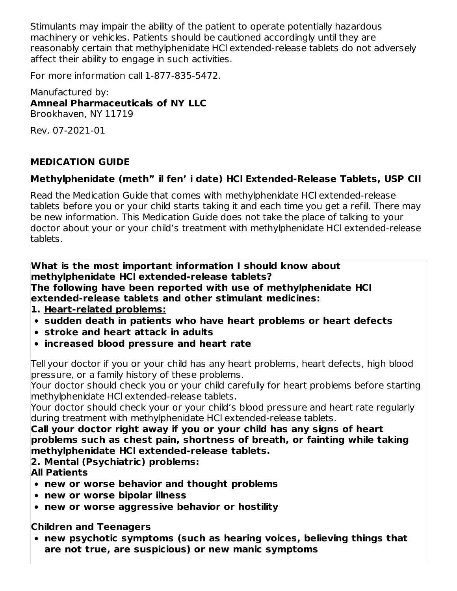Stimulants may impair the ability of the patient to operate potentially hazardous machinery or vehicles. Patients should be cautioned accordingly until they are reasonably certain that methylphenidate HCl extended-release tablets do not adversely affect their ability to engage in such activities.

For more information call 1-877-835-5472.

#### Manufactured by: **Amneal Pharmaceuticals of NY LLC** Brookhaven, NY 11719

Rev. 07-2021-01

# **MEDICATION GUIDE**

# **Methylphenidate (meth" il fen' i date) HCl Extended-Release Tablets, USP CII**

Read the Medication Guide that comes with methylphenidate HCl extended-release tablets before you or your child starts taking it and each time you get a refill. There may be new information. This Medication Guide does not take the place of talking to your doctor about your or your child's treatment with methylphenidate HCl extended-release tablets.

**What is the most important information I should know about methylphenidate HCl extended-release tablets?**

**The following have been reported with use of methylphenidate HCl extended-release tablets and other stimulant medicines:**

- **1. Heart-related problems:**
- **sudden death in patients who have heart problems or heart defects**
- **stroke and heart attack in adults**
- **increased blood pressure and heart rate**

Tell your doctor if you or your child has any heart problems, heart defects, high blood pressure, or a family history of these problems.

Your doctor should check you or your child carefully for heart problems before starting methylphenidate HCl extended-release tablets.

Your doctor should check your or your child's blood pressure and heart rate regularly during treatment with methylphenidate HCl extended-release tablets.

**Call your doctor right away if you or your child has any signs of heart problems such as chest pain, shortness of breath, or fainting while taking methylphenidate HCl extended-release tablets.**

### **2. Mental (Psychiatric) problems:**

**All Patients**

- **new or worse behavior and thought problems**
- **new or worse bipolar illness**
- **new or worse aggressive behavior or hostility**

# **Children and Teenagers**

**new psychotic symptoms (such as hearing voices, believing things that are not true, are suspicious) or new manic symptoms**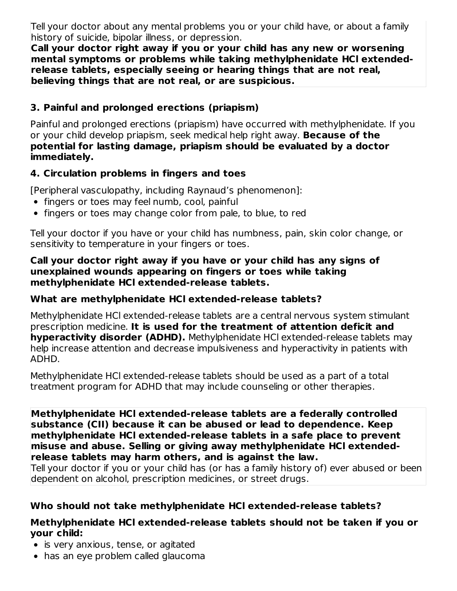Tell your doctor about any mental problems you or your child have, or about a family history of suicide, bipolar illness, or depression.

**Call your doctor right away if you or your child has any new or worsening mental symptoms or problems while taking methylphenidate HCl extendedrelease tablets, especially seeing or hearing things that are not real, believing things that are not real, or are suspicious.**

### **3. Painful and prolonged erections (priapism)**

Painful and prolonged erections (priapism) have occurred with methylphenidate. If you or your child develop priapism, seek medical help right away. **Because of the potential for lasting damage, priapism should be evaluated by a doctor immediately.**

### **4. Circulation problems in fingers and toes**

[Peripheral vasculopathy, including Raynaud's phenomenon]:

- fingers or toes may feel numb, cool, painful
- fingers or toes may change color from pale, to blue, to red

Tell your doctor if you have or your child has numbness, pain, skin color change, or sensitivity to temperature in your fingers or toes.

#### **Call your doctor right away if you have or your child has any signs of unexplained wounds appearing on fingers or toes while taking methylphenidate HCl extended-release tablets.**

# **What are methylphenidate HCl extended-release tablets?**

Methylphenidate HCl extended-release tablets are a central nervous system stimulant prescription medicine. **It is used for the treatment of attention deficit and hyperactivity disorder (ADHD).** Methylphenidate HCl extended-release tablets may help increase attention and decrease impulsiveness and hyperactivity in patients with ADHD.

Methylphenidate HCl extended-release tablets should be used as a part of a total treatment program for ADHD that may include counseling or other therapies.

**Methylphenidate HCl extended-release tablets are a federally controlled substance (CII) because it can be abused or lead to dependence. Keep methylphenidate HCl extended-release tablets in a safe place to prevent misuse and abuse. Selling or giving away methylphenidate HCl extendedrelease tablets may harm others, and is against the law.**

Tell your doctor if you or your child has (or has a family history of) ever abused or been dependent on alcohol, prescription medicines, or street drugs.

# **Who should not take methylphenidate HCl extended-release tablets?**

#### **Methylphenidate HCl extended-release tablets should not be taken if you or your child:**

- is very anxious, tense, or agitated
- has an eye problem called glaucoma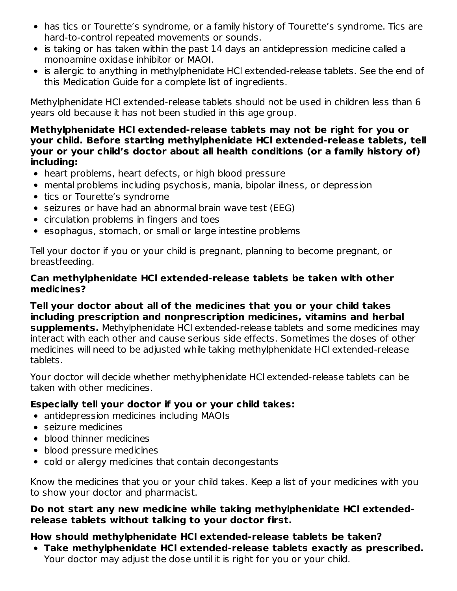- has tics or Tourette's syndrome, or a family history of Tourette's syndrome. Tics are hard-to-control repeated movements or sounds.
- is taking or has taken within the past 14 days an antidepression medicine called a monoamine oxidase inhibitor or MAOI.
- is allergic to anything in methylphenidate HCl extended-release tablets. See the end of this Medication Guide for a complete list of ingredients.

Methylphenidate HCl extended-release tablets should not be used in children less than 6 years old because it has not been studied in this age group.

#### **Methylphenidate HCl extended-release tablets may not be right for you or your child. Before starting methylphenidate HCl extended-release tablets, tell your or your child's doctor about all health conditions (or a family history of) including:**

- heart problems, heart defects, or high blood pressure
- mental problems including psychosis, mania, bipolar illness, or depression
- tics or Tourette's syndrome
- seizures or have had an abnormal brain wave test (EEG)
- circulation problems in fingers and toes
- esophagus, stomach, or small or large intestine problems

Tell your doctor if you or your child is pregnant, planning to become pregnant, or breastfeeding.

#### **Can methylphenidate HCl extended-release tablets be taken with other medicines?**

**Tell your doctor about all of the medicines that you or your child takes including prescription and nonprescription medicines, vitamins and herbal supplements.** Methylphenidate HCl extended-release tablets and some medicines may interact with each other and cause serious side effects. Sometimes the doses of other medicines will need to be adjusted while taking methylphenidate HCl extended-release tablets.

Your doctor will decide whether methylphenidate HCl extended-release tablets can be taken with other medicines.

### **Especially tell your doctor if you or your child takes:**

- antidepression medicines including MAOIs
- seizure medicines
- blood thinner medicines
- blood pressure medicines
- cold or allergy medicines that contain decongestants

Know the medicines that you or your child takes. Keep a list of your medicines with you to show your doctor and pharmacist.

#### **Do not start any new medicine while taking methylphenidate HCl extendedrelease tablets without talking to your doctor first.**

### **How should methylphenidate HCl extended-release tablets be taken?**

**Take methylphenidate HCl extended-release tablets exactly as prescribed.** Your doctor may adjust the dose until it is right for you or your child.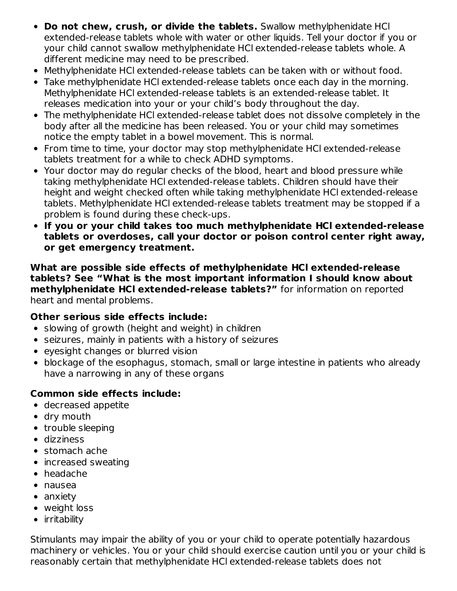- **Do not chew, crush, or divide the tablets.** Swallow methylphenidate HCl extended-release tablets whole with water or other liquids. Tell your doctor if you or your child cannot swallow methylphenidate HCl extended-release tablets whole. A different medicine may need to be prescribed.
- Methylphenidate HCl extended-release tablets can be taken with or without food.
- Take methylphenidate HCl extended-release tablets once each day in the morning. Methylphenidate HCl extended-release tablets is an extended-release tablet. It releases medication into your or your child's body throughout the day.
- The methylphenidate HCl extended-release tablet does not dissolve completely in the body after all the medicine has been released. You or your child may sometimes notice the empty tablet in a bowel movement. This is normal.
- From time to time, your doctor may stop methylphenidate HCl extended-release tablets treatment for a while to check ADHD symptoms.
- Your doctor may do regular checks of the blood, heart and blood pressure while taking methylphenidate HCl extended-release tablets. Children should have their height and weight checked often while taking methylphenidate HCl extended-release tablets. Methylphenidate HCl extended-release tablets treatment may be stopped if a problem is found during these check-ups.
- **If you or your child takes too much methylphenidate HCl extended-release tablets or overdoses, call your doctor or poison control center right away, or get emergency treatment.**

**What are possible side effects of methylphenidate HCl extended-release tablets? See "What is the most important information I should know about methylphenidate HCl extended-release tablets?"** for information on reported heart and mental problems.

### **Other serious side effects include:**

- slowing of growth (height and weight) in children
- seizures, mainly in patients with a history of seizures
- eyesight changes or blurred vision
- blockage of the esophagus, stomach, small or large intestine in patients who already have a narrowing in any of these organs

### **Common side effects include:**

- decreased appetite
- dry mouth
- trouble sleeping
- dizziness
- stomach ache
- increased sweating
- headache
- nausea
- anxiety
- weight loss
- irritability

Stimulants may impair the ability of you or your child to operate potentially hazardous machinery or vehicles. You or your child should exercise caution until you or your child is reasonably certain that methylphenidate HCl extended-release tablets does not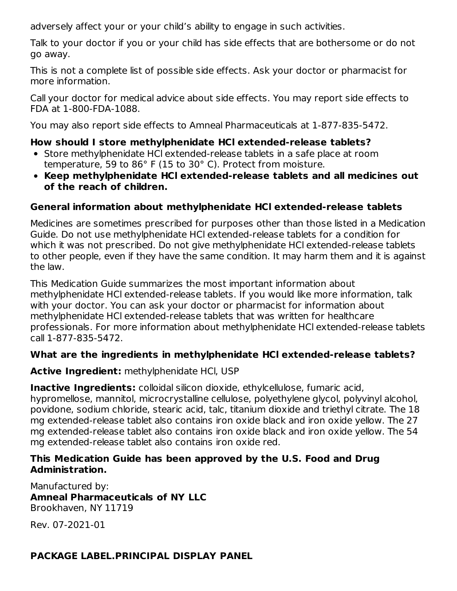adversely affect your or your child's ability to engage in such activities.

Talk to your doctor if you or your child has side effects that are bothersome or do not go away.

This is not a complete list of possible side effects. Ask your doctor or pharmacist for more information.

Call your doctor for medical advice about side effects. You may report side effects to FDA at 1-800-FDA-1088.

You may also report side effects to Amneal Pharmaceuticals at 1-877-835-5472.

### **How should I store methylphenidate HCl extended-release tablets?**

- Store methylphenidate HCl extended-release tablets in a safe place at room temperature, 59 to 86° F (15 to 30° C). Protect from moisture.
- **Keep methylphenidate HCl extended-release tablets and all medicines out of the reach of children.**

### **General information about methylphenidate HCl extended-release tablets**

Medicines are sometimes prescribed for purposes other than those listed in a Medication Guide. Do not use methylphenidate HCl extended-release tablets for a condition for which it was not prescribed. Do not give methylphenidate HCl extended-release tablets to other people, even if they have the same condition. It may harm them and it is against the law.

This Medication Guide summarizes the most important information about methylphenidate HCl extended-release tablets. If you would like more information, talk with your doctor. You can ask your doctor or pharmacist for information about methylphenidate HCl extended-release tablets that was written for healthcare professionals. For more information about methylphenidate HCl extended-release tablets call 1-877-835-5472.

### **What are the ingredients in methylphenidate HCl extended-release tablets?**

### **Active Ingredient:** methylphenidate HCl, USP

**Inactive Ingredients:** colloidal silicon dioxide, ethylcellulose, fumaric acid, hypromellose, mannitol, microcrystalline cellulose, polyethylene glycol, polyvinyl alcohol, povidone, sodium chloride, stearic acid, talc, titanium dioxide and triethyl citrate. The 18 mg extended-release tablet also contains iron oxide black and iron oxide yellow. The 27 mg extended-release tablet also contains iron oxide black and iron oxide yellow. The 54 mg extended-release tablet also contains iron oxide red.

#### **This Medication Guide has been approved by the U.S. Food and Drug Administration.**

Manufactured by: **Amneal Pharmaceuticals of NY LLC** Brookhaven, NY 11719

Rev. 07-2021-01

### **PACKAGE LABEL.PRINCIPAL DISPLAY PANEL**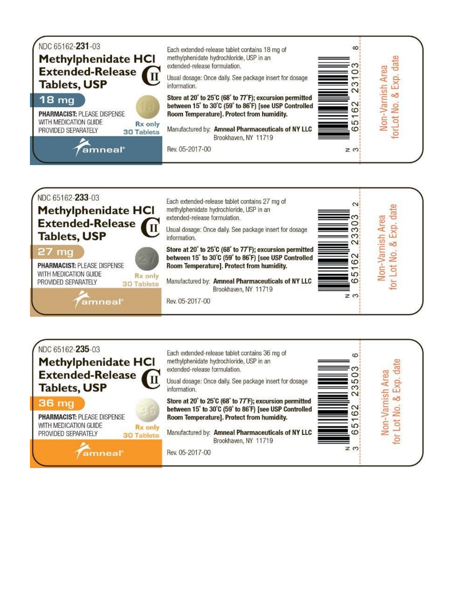



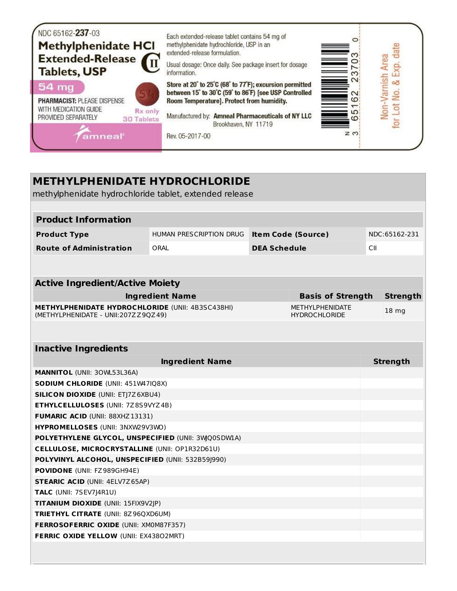

# **METHYLPHENIDATE HYDROCHLORIDE**

L.

methylphenidate hydrochloride tablet, extended release

| <b>Product Information</b>                                                                     |                         |                     |                                                |                 |                  |
|------------------------------------------------------------------------------------------------|-------------------------|---------------------|------------------------------------------------|-----------------|------------------|
|                                                                                                |                         |                     |                                                |                 |                  |
| <b>Product Type</b>                                                                            | HUMAN PRESCRIPTION DRUG |                     | <b>Item Code (Source)</b>                      |                 | NDC:65162-231    |
| <b>Route of Administration</b>                                                                 | ORAL                    | <b>DEA Schedule</b> |                                                | CII             |                  |
|                                                                                                |                         |                     |                                                |                 |                  |
|                                                                                                |                         |                     |                                                |                 |                  |
| <b>Active Ingredient/Active Moiety</b>                                                         |                         |                     |                                                |                 |                  |
|                                                                                                | <b>Ingredient Name</b>  |                     | <b>Basis of Strength</b>                       |                 | <b>Strength</b>  |
| <b>METHYLPHENIDATE HYDROCHLORIDE (UNII: 4B3SC438HI)</b><br>(METHYLPHENIDATE - UNII:207ZZ9QZ49) |                         |                     | <b>METHYLPHENIDATE</b><br><b>HYDROCHLORIDE</b> |                 | 18 <sub>mg</sub> |
|                                                                                                |                         |                     |                                                |                 |                  |
|                                                                                                |                         |                     |                                                |                 |                  |
| <b>Inactive Ingredients</b>                                                                    |                         |                     |                                                |                 |                  |
|                                                                                                | <b>Ingredient Name</b>  |                     |                                                | <b>Strength</b> |                  |
| <b>MANNITOL (UNII: 30WL53L36A)</b>                                                             |                         |                     |                                                |                 |                  |
| SODIUM CHLORIDE (UNII: 451W47IQ8X)                                                             |                         |                     |                                                |                 |                  |
| <b>SILICON DIOXIDE (UNII: ETJ7Z6XBU4)</b>                                                      |                         |                     |                                                |                 |                  |
| ETHYLCELLULOSES (UNII: 7Z8S9VYZ4B)                                                             |                         |                     |                                                |                 |                  |
| FUMARIC ACID (UNII: 88XHZ13131)                                                                |                         |                     |                                                |                 |                  |
| HYPROMELLOSES (UNII: 3NXW29V3WO)                                                               |                         |                     |                                                |                 |                  |
| POLYETHYLENE GLYCOL, UNSPECIFIED (UNII: 3WQ0SDWIA)                                             |                         |                     |                                                |                 |                  |
| CELLULOSE, MICROCRYSTALLINE (UNII: OP1R32D61U)                                                 |                         |                     |                                                |                 |                  |
| POLYVINYL ALCOHOL, UNSPECIFIED (UNII: 532B59J990)                                              |                         |                     |                                                |                 |                  |
| POVIDONE (UNII: FZ989GH94E)                                                                    |                         |                     |                                                |                 |                  |
| <b>STEARIC ACID (UNII: 4ELV7Z65AP)</b>                                                         |                         |                     |                                                |                 |                  |
| <b>TALC</b> (UNII: 7SEV7J4R1U)                                                                 |                         |                     |                                                |                 |                  |
| TITANIUM DIOXIDE (UNII: 15FIX9V2JP)                                                            |                         |                     |                                                |                 |                  |
|                                                                                                |                         |                     |                                                |                 |                  |
| TRIETHYL CITRATE (UNII: 8Z96QXD6UM)                                                            |                         |                     |                                                |                 |                  |
| <b>FERROSOFERRIC OXIDE (UNII: XM0M87F357)</b>                                                  |                         |                     |                                                |                 |                  |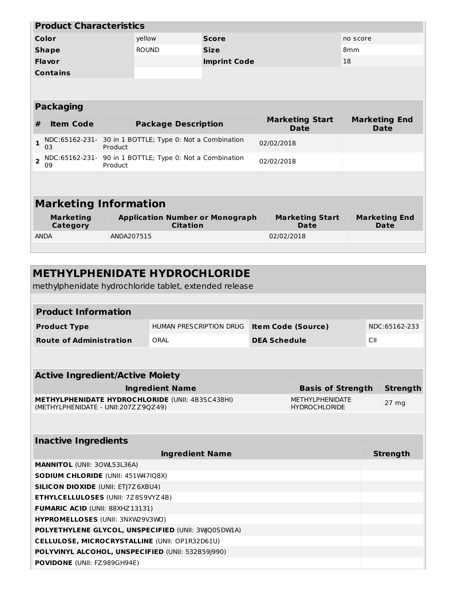| <b>Product Characteristics</b> |                                     |            |                                                          |                                        |  |                                       |                                     |
|--------------------------------|-------------------------------------|------------|----------------------------------------------------------|----------------------------------------|--|---------------------------------------|-------------------------------------|
|                                | Color                               |            | yellow                                                   | <b>Score</b>                           |  |                                       | no score                            |
|                                | <b>Shape</b>                        |            | <b>ROUND</b>                                             | <b>Size</b>                            |  |                                       | 8 <sub>mm</sub>                     |
|                                | Flavor                              |            |                                                          | <b>Imprint Code</b>                    |  |                                       | 18                                  |
|                                | <b>Contains</b>                     |            |                                                          |                                        |  |                                       |                                     |
|                                |                                     |            |                                                          |                                        |  |                                       |                                     |
|                                |                                     |            |                                                          |                                        |  |                                       |                                     |
|                                | <b>Packaging</b>                    |            |                                                          |                                        |  |                                       |                                     |
| #                              | <b>Item Code</b>                    |            | <b>Package Description</b>                               |                                        |  | <b>Marketing Start</b><br>Date        | <b>Marketing End</b><br><b>Date</b> |
| $\mathbf{1}$                   | 03                                  | Product    | NDC:65162-231- 30 in 1 BOTTLE; Type 0: Not a Combination |                                        |  | 02/02/2018                            |                                     |
| $\overline{2}$                 | NDC:65162-231-<br>09                | Product    | 90 in 1 BOTTLE; Type 0: Not a Combination                |                                        |  | 02/02/2018                            |                                     |
|                                |                                     |            |                                                          |                                        |  |                                       |                                     |
|                                |                                     |            |                                                          |                                        |  |                                       |                                     |
| <b>Marketing Information</b>   |                                     |            |                                                          |                                        |  |                                       |                                     |
|                                | <b>Marketing</b><br><b>Category</b> |            | <b>Citation</b>                                          | <b>Application Number or Monograph</b> |  | <b>Marketing Start</b><br><b>Date</b> | <b>Marketing End</b><br>Date        |
|                                | <b>ANDA</b>                         | ANDA207515 |                                                          |                                        |  | 02/02/2018                            |                                     |
|                                |                                     |            |                                                          |                                        |  |                                       |                                     |

| <b>METHYLPHENIDATE HYDROCHLORIDE</b>                                                                                                      |                         |                     |                           |     |                 |
|-------------------------------------------------------------------------------------------------------------------------------------------|-------------------------|---------------------|---------------------------|-----|-----------------|
| methylphenidate hydrochloride tablet, extended release                                                                                    |                         |                     |                           |     |                 |
|                                                                                                                                           |                         |                     |                           |     |                 |
| <b>Product Information</b>                                                                                                                |                         |                     |                           |     |                 |
| <b>Product Type</b>                                                                                                                       | HUMAN PRESCRIPTION DRUG |                     | <b>Item Code (Source)</b> |     | NDC:65162-233   |
| <b>Route of Administration</b>                                                                                                            | ORAI                    | <b>DEA Schedule</b> |                           | CII |                 |
|                                                                                                                                           |                         |                     |                           |     |                 |
|                                                                                                                                           |                         |                     |                           |     |                 |
| <b>Active Ingredient/Active Moiety</b>                                                                                                    |                         |                     |                           |     |                 |
|                                                                                                                                           | <b>Ingredient Name</b>  |                     | <b>Basis of Strength</b>  |     | <b>Strength</b> |
| METHYLPHENIDATE HYDROCHLORIDE (UNII: 4B3SC438HI)<br><b>METHYLPHENIDATE</b><br>(METHYLPHENIDATE - UNII:207ZZ9QZ49)<br><b>HYDROCHLORIDE</b> |                         |                     |                           |     | $27 \text{ mg}$ |
|                                                                                                                                           |                         |                     |                           |     |                 |
| <b>Inactive Ingredients</b>                                                                                                               |                         |                     |                           |     |                 |
|                                                                                                                                           | <b>Ingredient Name</b>  |                     |                           |     | <b>Strength</b> |
| <b>MANNITOL (UNII: 30WL53L36A)</b>                                                                                                        |                         |                     |                           |     |                 |
| <b>SODIUM CHLORIDE (UNII: 451W47IQ8X)</b>                                                                                                 |                         |                     |                           |     |                 |
| <b>SILICON DIOXIDE (UNII: ETJ7Z6XBU4)</b>                                                                                                 |                         |                     |                           |     |                 |
| ETHYLCELLULOSES (UNII: 7Z8S9VYZ4B)                                                                                                        |                         |                     |                           |     |                 |
| <b>FUMARIC ACID (UNII: 88XHZ 13131)</b>                                                                                                   |                         |                     |                           |     |                 |
| <b>HYPROMELLOSES (UNII: 3NXW29V3WO)</b>                                                                                                   |                         |                     |                           |     |                 |
| POLYETHYLENE GLYCOL, UNSPECIFIED (UNII: 3WQ0SDW1A)                                                                                        |                         |                     |                           |     |                 |
| CELLULOSE, MICROCRYSTALLINE (UNII: OP1R32D61U)                                                                                            |                         |                     |                           |     |                 |
| POLYVINYL ALCOHOL, UNSPECIFIED (UNII: 532B59J990)                                                                                         |                         |                     |                           |     |                 |
| <b>POVIDONE</b> (UNII: FZ989GH94E)                                                                                                        |                         |                     |                           |     |                 |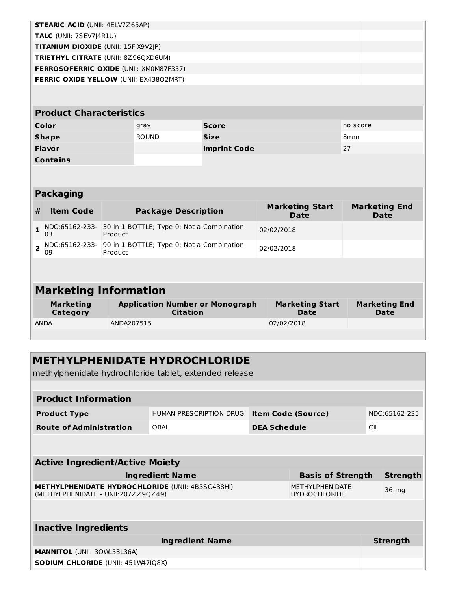|                | <b>STEARIC ACID (UNII: 4ELV7Z65AP)</b>        |            |                                                           |                     |  |                                       |                 |                                     |  |
|----------------|-----------------------------------------------|------------|-----------------------------------------------------------|---------------------|--|---------------------------------------|-----------------|-------------------------------------|--|
|                | <b>TALC</b> (UNII: 7SEV7J4R1U)                |            |                                                           |                     |  |                                       |                 |                                     |  |
|                | TITANIUM DIOXIDE (UNII: 15FIX9V2JP)           |            |                                                           |                     |  |                                       |                 |                                     |  |
|                | <b>TRIETHYL CITRATE (UNII: 8Z96QXD6UM)</b>    |            |                                                           |                     |  |                                       |                 |                                     |  |
|                | FERROSOFERRIC OXIDE (UNII: XM0M87F357)        |            |                                                           |                     |  |                                       |                 |                                     |  |
|                | <b>FERRIC OXIDE YELLOW (UNII: EX43802MRT)</b> |            |                                                           |                     |  |                                       |                 |                                     |  |
|                |                                               |            |                                                           |                     |  |                                       |                 |                                     |  |
|                | <b>Product Characteristics</b>                |            |                                                           |                     |  |                                       |                 |                                     |  |
|                | Color                                         |            | gray                                                      | <b>Score</b>        |  |                                       | no score        |                                     |  |
|                | <b>Shape</b>                                  |            | <b>ROUND</b>                                              | <b>Size</b>         |  |                                       | 8 <sub>mm</sub> |                                     |  |
|                | Flavor                                        |            |                                                           | <b>Imprint Code</b> |  |                                       | 27              |                                     |  |
|                | <b>Contains</b>                               |            |                                                           |                     |  |                                       |                 |                                     |  |
|                |                                               |            |                                                           |                     |  |                                       |                 |                                     |  |
|                |                                               |            |                                                           |                     |  |                                       |                 |                                     |  |
|                | <b>Packaging</b>                              |            |                                                           |                     |  |                                       |                 |                                     |  |
| #              | <b>Item Code</b>                              |            | <b>Package Description</b>                                |                     |  | <b>Marketing Start</b><br><b>Date</b> |                 | <b>Marketing End</b><br><b>Date</b> |  |
| $\mathbf{1}$   | 03                                            | Product    | NDC:65162-233- 30 in 1 BOTTLE; Type 0: Not a Combination  |                     |  | 02/02/2018                            |                 |                                     |  |
| $\overline{2}$ | NDC:65162-233-<br>09                          | Product    | 90 in 1 BOTTLE; Type 0: Not a Combination                 |                     |  | 02/02/2018                            |                 |                                     |  |
|                |                                               |            |                                                           |                     |  |                                       |                 |                                     |  |
|                |                                               |            |                                                           |                     |  |                                       |                 |                                     |  |
|                | <b>Marketing Information</b>                  |            |                                                           |                     |  |                                       |                 |                                     |  |
|                | <b>Marketing</b><br>Category                  |            | <b>Application Number or Monograph</b><br><b>Citation</b> |                     |  | <b>Marketing Start</b><br>Date        |                 | <b>Marketing End</b><br>Date        |  |
|                | <b>ANDA</b>                                   | ANDA207515 |                                                           |                     |  | 02/02/2018                            |                 |                                     |  |
|                |                                               |            |                                                           |                     |  |                                       |                 |                                     |  |

| <b>METHYLPHENIDATE HYDROCHLORIDE</b><br>methylphenidate hydrochloride tablet, extended release |                         |                     |                                                |      |                 |  |
|------------------------------------------------------------------------------------------------|-------------------------|---------------------|------------------------------------------------|------|-----------------|--|
|                                                                                                |                         |                     |                                                |      |                 |  |
| <b>Product Information</b>                                                                     |                         |                     |                                                |      |                 |  |
| <b>Product Type</b>                                                                            | HUMAN PRESCRIPTION DRUG |                     | <b>Item Code (Source)</b>                      |      | NDC:65162-235   |  |
| <b>Route of Administration</b>                                                                 | ORAI                    | <b>DEA Schedule</b> |                                                | CII. |                 |  |
|                                                                                                |                         |                     |                                                |      |                 |  |
| <b>Active Ingredient/Active Moiety</b>                                                         |                         |                     |                                                |      |                 |  |
|                                                                                                | <b>Ingredient Name</b>  |                     | <b>Basis of Strength</b>                       |      | <b>Strength</b> |  |
| <b>METHYLPHENIDATE HYDROCHLORIDE (UNII: 4B3SC438HI)</b><br>(METHYLPHENIDATE - UNII:207ZZ9QZ49) |                         |                     | <b>METHYLPHENIDATE</b><br><b>HYDROCHLORIDE</b> |      | 36 mg           |  |
|                                                                                                |                         |                     |                                                |      |                 |  |
| <b>Inactive Ingredients</b>                                                                    |                         |                     |                                                |      |                 |  |
|                                                                                                | <b>Ingredient Name</b>  |                     |                                                |      | <b>Strength</b> |  |
| <b>MANNITOL (UNII: 30WL53L36A)</b>                                                             |                         |                     |                                                |      |                 |  |
| <b>SODIUM CHLORIDE (UNII: 451W47IQ8X)</b>                                                      |                         |                     |                                                |      |                 |  |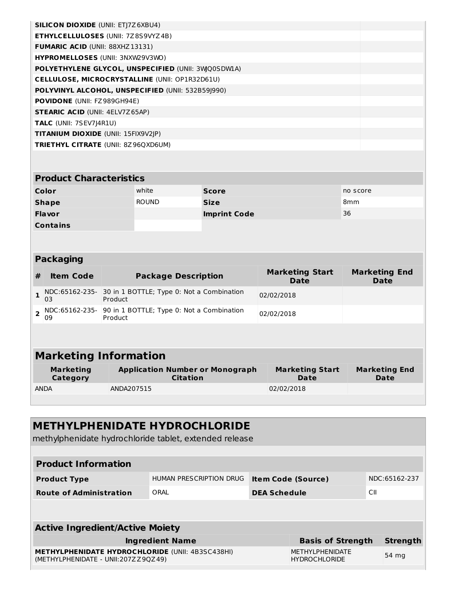| <b>SILICON DIOXIDE (UNII: ETJ7Z6XBU4)</b>             |  |
|-------------------------------------------------------|--|
| <b>ETHYLCELLULOSES (UNII: 7Z8S9VYZ4B)</b>             |  |
| <b>FUMARIC ACID (UNII: 88XHZ 13131)</b>               |  |
| <b>HYPROMELLOSES (UNII: 3NXW29V3WO)</b>               |  |
| POLYETHYLENE GLYCOL, UNSPECIFIED (UNII: 3WO0SDWIA)    |  |
| <b>CELLULOSE, MICROCRYSTALLINE (UNII: OP1R32D61U)</b> |  |
| POLYVINYL ALCOHOL, UNSPECIFIED (UNII: 532B591990)     |  |
| <b>POVIDONE</b> (UNII: FZ989GH94E)                    |  |
| <b>STEARIC ACID (UNII: 4ELV7Z65AP)</b>                |  |
| <b>TALC</b> (UNII: 7SEV7 4R1U)                        |  |
| <b>TITANIUM DIOXIDE (UNII: 15FIX9V2IP)</b>            |  |
| <b>TRIETHYL CITRATE (UNII: 8Z96QXD6UM)</b>            |  |
|                                                       |  |

| <b>Product Characteristics</b> |              |                     |          |  |  |  |  |
|--------------------------------|--------------|---------------------|----------|--|--|--|--|
| Color                          | white        | <b>Score</b>        | no score |  |  |  |  |
| <b>Shape</b>                   | <b>ROUND</b> | <b>Size</b>         | 8mm      |  |  |  |  |
| <b>Flavor</b>                  |              | <b>Imprint Code</b> | 36       |  |  |  |  |
| <b>Contains</b>                |              |                     |          |  |  |  |  |

# **Packaging**

| <b>Item Code</b> | <b>Package Description</b>                                                        | <b>Marketing Start</b><br>Date | <b>Marketing End</b><br><b>Date</b> |
|------------------|-----------------------------------------------------------------------------------|--------------------------------|-------------------------------------|
| 0 <sub>3</sub>   | $\frac{1}{1}$ NDC:65162-235- 30 in 1 BOTTLE; Type 0: Not a Combination<br>Product | 02/02/2018                     |                                     |
| 09               | $\sim$ NDC:65162-235- 90 in 1 BOTTLE; Type 0: Not a Combination<br>Product        | 02/02/2018                     |                                     |

# **Marketing Information**

| Marketing   | <b>Application Number or Monograph</b> | <b>Marketing Start</b> | <b>Marketing End</b> |
|-------------|----------------------------------------|------------------------|----------------------|
| Category    | <b>Citation</b>                        | Date                   | <b>Date</b>          |
| <b>ANDA</b> | ANDA207515                             | 02/02/2018             |                      |

| <b>METHYLPHENIDATE HYDROCHLORIDE</b><br>methylphenidate hydrochloride tablet, extended release |                                                      |                     |                                                |     |                 |  |  |
|------------------------------------------------------------------------------------------------|------------------------------------------------------|---------------------|------------------------------------------------|-----|-----------------|--|--|
| <b>Product Information</b>                                                                     |                                                      |                     |                                                |     |                 |  |  |
| <b>Product Type</b>                                                                            | HUMAN PRESCRIPTION DRUG<br><b>Item Code (Source)</b> |                     |                                                |     | NDC:65162-237   |  |  |
| <b>Route of Administration</b>                                                                 | ORAI                                                 | <b>DEA Schedule</b> |                                                | CII |                 |  |  |
|                                                                                                |                                                      |                     |                                                |     |                 |  |  |
| <b>Active Ingredient/Active Moiety</b>                                                         |                                                      |                     |                                                |     |                 |  |  |
| <b>Ingredient Name</b>                                                                         |                                                      |                     | <b>Basis of Strength</b>                       |     | <b>Strength</b> |  |  |
| <b>METHYLPHENIDATE HYDROCHLORIDE (UNII: 4B3SC438HI)</b><br>(METHYLPHENIDATE - UNII:207ZZ9QZ49) |                                                      |                     | <b>METHYLPHENIDATE</b><br><b>HYDROCHLORIDE</b> |     | 54 mg           |  |  |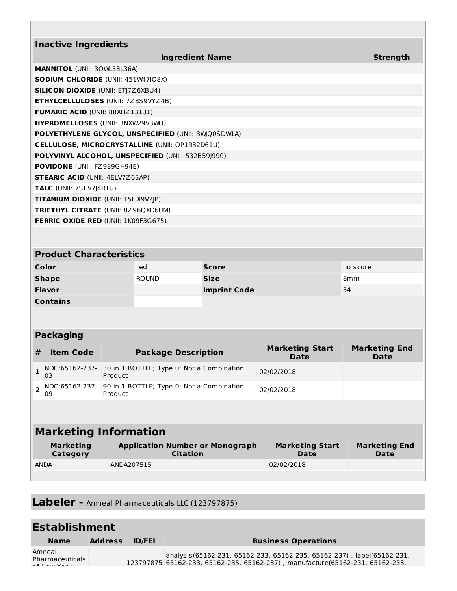| <b>Inactive Ingredients</b>                               |                 |
|-----------------------------------------------------------|-----------------|
| <b>Ingredient Name</b>                                    | <b>Strength</b> |
| <b>MANNITOL (UNII: 30WL53L36A)</b>                        |                 |
| <b>SODIUM CHLORIDE (UNII: 451W47IQ8X)</b>                 |                 |
| <b>SILICON DIOXIDE (UNII: ETJ7Z6XBU4)</b>                 |                 |
| <b>ETHYLCELLULOSES (UNII: 7Z8S9VYZ4B)</b>                 |                 |
| <b>FUMARIC ACID (UNII: 88XHZ 13131)</b>                   |                 |
| <b>HYPROMELLOSES (UNII: 3NXW29V3WO)</b>                   |                 |
| <b>POLYETHYLENE GLYCOL, UNSPECIFIED (UNII: 3WQ0SDWIA)</b> |                 |
| CELLULOSE, MICROCRYSTALLINE (UNII: OP1R32D61U)            |                 |
| POLYVINYL ALCOHOL, UNSPECIFIED (UNII: 532B59J990)         |                 |
| <b>POVIDONE (UNII: FZ989GH94E)</b>                        |                 |
| <b>STEARIC ACID (UNII: 4ELV7Z65AP)</b>                    |                 |
| TALC (UNII: 7SEV7J4R1U)                                   |                 |
| <b>TITANIUM DIOXIDE (UNII: 15FIX9V2JP)</b>                |                 |
| <b>TRIETHYL CITRATE (UNII: 8Z96QXD6UM)</b>                |                 |
| FERRIC OXIDE RED (UNII: 1K09F3G675)                       |                 |

| <b>Product Characteristics</b> |              |                     |                 |  |  |  |  |
|--------------------------------|--------------|---------------------|-----------------|--|--|--|--|
| Color                          | red          | <b>Score</b>        | no score        |  |  |  |  |
| <b>Shape</b>                   | <b>ROUND</b> | <b>Size</b>         | 8 <sub>mm</sub> |  |  |  |  |
| <b>Flavor</b>                  |              | <b>Imprint Code</b> | 54              |  |  |  |  |
| <b>Contains</b>                |              |                     |                 |  |  |  |  |

# **Packaging**

н

| <b>Item Code</b> | <b>Package Description</b>                                                        | <b>Marketing Start</b><br>Date | <b>Marketing End</b><br><b>Date</b> |
|------------------|-----------------------------------------------------------------------------------|--------------------------------|-------------------------------------|
| 03               | $\frac{1}{1}$ NDC:65162-237- 30 in 1 BOTTLE; Type 0: Not a Combination<br>Product | 02/02/2018                     |                                     |
| 09               | >   NDC:65162-237-   90 in 1 BOTTLE; Type 0: Not a Combination<br>Product         | 02/02/2018                     |                                     |
|                  |                                                                                   |                                |                                     |

# **Marketing Information**

| Marketing   | <b>Application Number or Monograph</b> | <b>Marketing Start</b> | <b>Marketing End</b> |
|-------------|----------------------------------------|------------------------|----------------------|
| Category    | Citation                               | <b>Date</b>            | Date                 |
| <b>ANDA</b> | ANDA207515                             | 02/02/2018             |                      |

# **Labeler -** Amneal Pharmaceuticals LLC (123797875)

| <b>Establishment</b>                                           |                |               |                                                                                                                                                           |  |  |  |  |
|----------------------------------------------------------------|----------------|---------------|-----------------------------------------------------------------------------------------------------------------------------------------------------------|--|--|--|--|
| <b>Name</b>                                                    | <b>Address</b> | <b>ID/FEI</b> | <b>Business Operations</b>                                                                                                                                |  |  |  |  |
| Amneal<br>Pharmaceuticals<br>$\sim$ C. M. F. C. A. A. C. and a |                |               | analysis (65162-231, 65162-233, 65162-235, 65162-237), label (65162-231,<br>123797875 65162-233, 65162-235, 65162-237), manufacture(65162-231, 65162-233, |  |  |  |  |